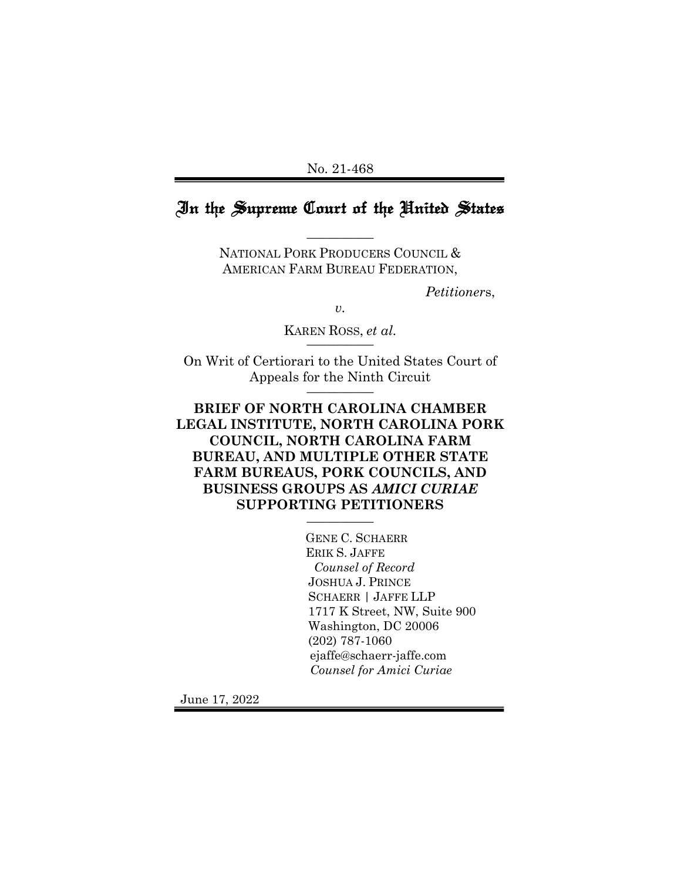#### No. 21-468

# In the Supreme Court of the United States

 $\overline{\phantom{a}}$   $\overline{\phantom{a}}$ 

NATIONAL PORK PRODUCERS COUNCIL & AMERICAN FARM BUREAU FEDERATION,

*Petitioner*s,

*v.*

KAREN ROSS, *et al.* \_\_\_\_\_\_\_\_\_\_

On Writ of Certiorari to the United States Court of Appeals for the Ninth Circuit  $\overline{\phantom{a}}$ 

## **BRIEF OF NORTH CAROLINA CHAMBER LEGAL INSTITUTE, NORTH CAROLINA PORK COUNCIL, NORTH CAROLINA FARM BUREAU, AND MULTIPLE OTHER STATE FARM BUREAUS, PORK COUNCILS, AND BUSINESS GROUPS AS** *AMICI CURIAE* **SUPPORTING PETITIONERS** \_\_\_\_\_\_\_\_\_\_

GENE C. SCHAERR ERIK S. JAFFE *Counsel of Record* JOSHUA J. PRINCE SCHAERR | JAFFE LLP 1717 K Street, NW, Suite 900 Washington, DC 20006 (202) 787-1060 ejaffe@schaerr-jaffe.com *Counsel for Amici Curiae*

June 17, 2022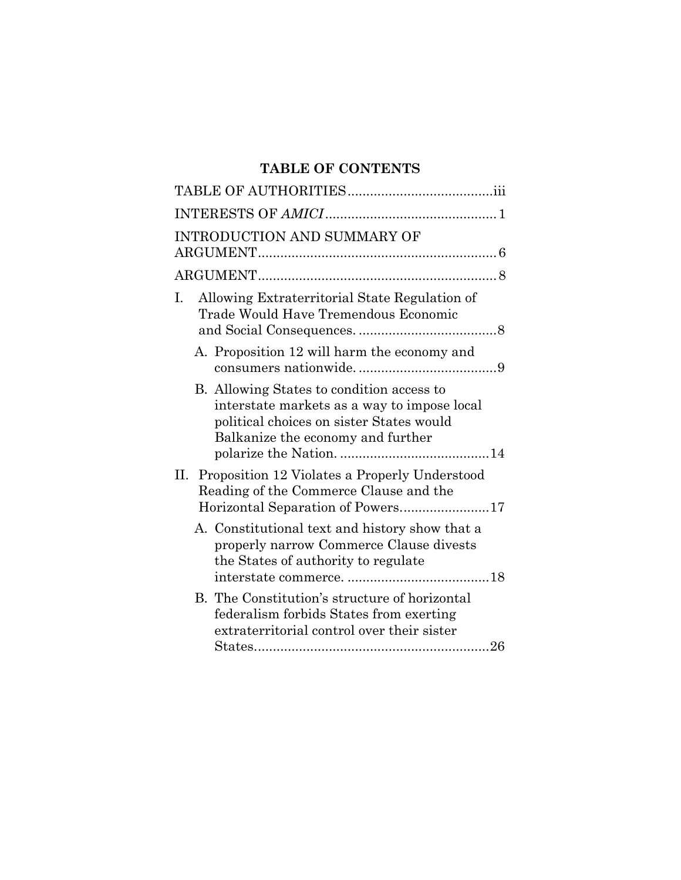# **TABLE OF CONTENTS**

| INTRODUCTION AND SUMMARY OF                                                                                                                                               |
|---------------------------------------------------------------------------------------------------------------------------------------------------------------------------|
|                                                                                                                                                                           |
| Allowing Extraterritorial State Regulation of<br>Ι.<br>Trade Would Have Tremendous Economic                                                                               |
| A. Proposition 12 will harm the economy and                                                                                                                               |
| B. Allowing States to condition access to<br>interstate markets as a way to impose local<br>political choices on sister States would<br>Balkanize the economy and further |
| Proposition 12 Violates a Properly Understood<br>П.<br>Reading of the Commerce Clause and the                                                                             |
| A. Constitutional text and history show that a<br>properly narrow Commerce Clause divests<br>the States of authority to regulate                                          |
| B. The Constitution's structure of horizontal<br>federalism forbids States from exerting<br>extraterritorial control over their sister                                    |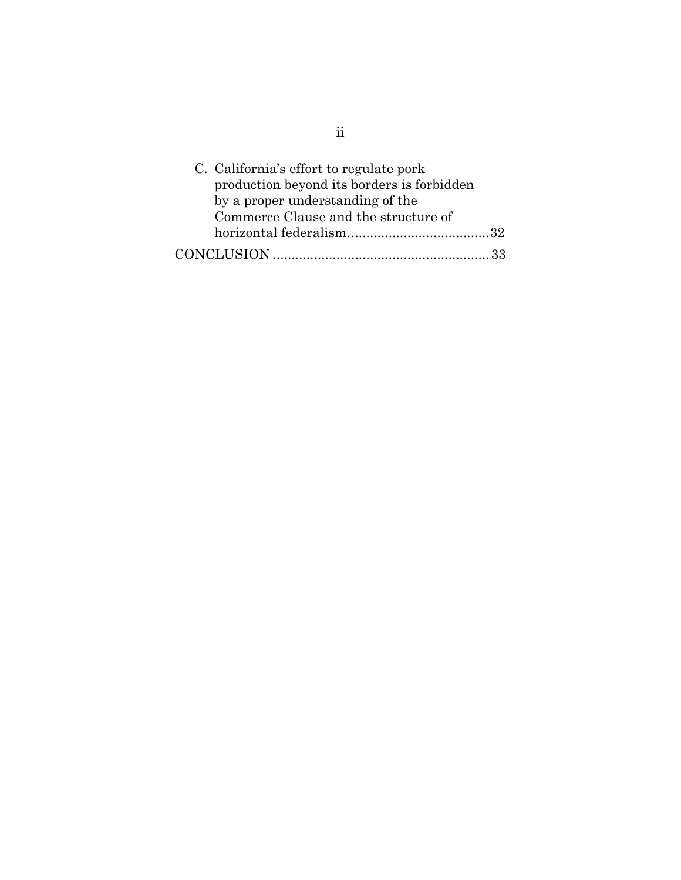| C. California's effort to regulate pork    |
|--------------------------------------------|
| production beyond its borders is forbidden |
| by a proper understanding of the           |
| Commerce Clause and the structure of       |
|                                            |
|                                            |

ii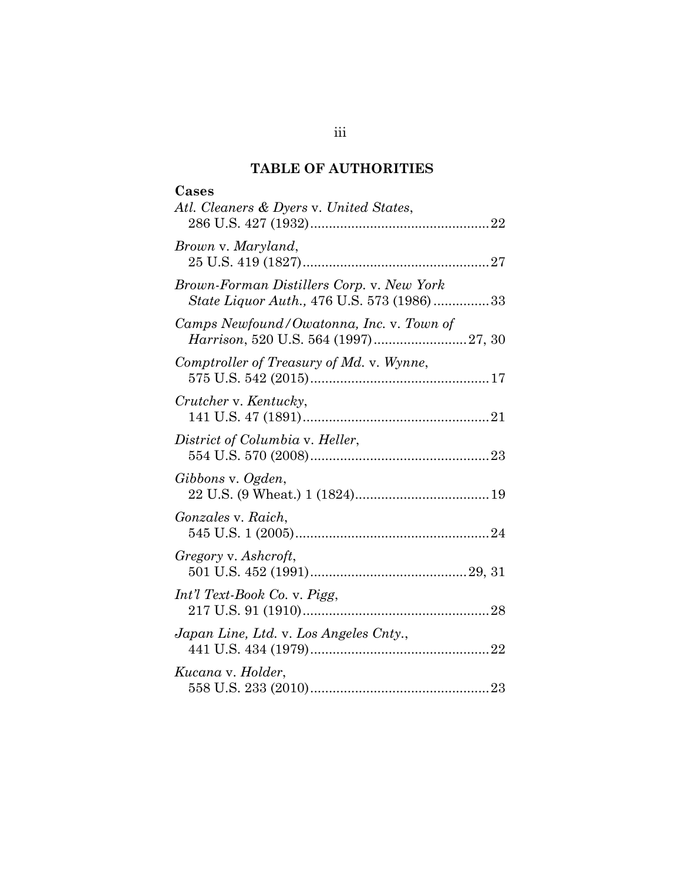# **TABLE OF AUTHORITIES**

| Cases<br>Atl. Cleaners & Dyers v. United States,                                       |  |
|----------------------------------------------------------------------------------------|--|
|                                                                                        |  |
| Brown v. Maryland,                                                                     |  |
| Brown-Forman Distillers Corp. v. New York<br>State Liquor Auth., 476 U.S. 573 (1986)33 |  |
| Camps Newfound/Owatonna, Inc. v. Town of                                               |  |
| Comptroller of Treasury of Md. v. Wynne,                                               |  |
| Crutcher v. Kentucky,                                                                  |  |
| District of Columbia v. Heller,                                                        |  |
| Gibbons v. Ogden,                                                                      |  |
| <i>Gonzales v. Raich,</i>                                                              |  |
| Gregory v. Ashcroft,                                                                   |  |
| Int'l Text-Book Co. v. Pigg,                                                           |  |
| Japan Line, Ltd. v. Los Angeles Cnty.,                                                 |  |
| Kucana v. Holder,                                                                      |  |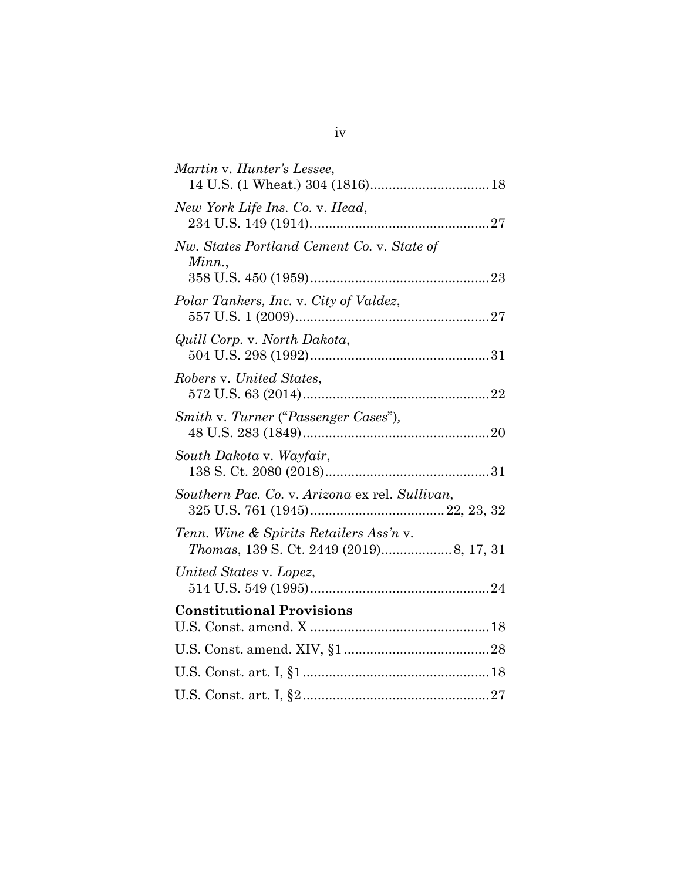| Martin v. Hunter's Lessee,                           |
|------------------------------------------------------|
| New York Life Ins. Co. v. Head,                      |
| Nw. States Portland Cement Co. v. State of<br>Minn., |
| Polar Tankers, Inc. v. City of Valdez,               |
| Quill Corp. v. North Dakota,                         |
| Robers v. United States,                             |
| Smith v. Turner ("Passenger Cases"),                 |
| South Dakota v. Wayfair,                             |
| Southern Pac. Co. v. Arizona ex rel. Sullivan,       |
| Tenn. Wine & Spirits Retailers Ass'n v.              |
| United States v. Lopez,                              |
| <b>Constitutional Provisions</b>                     |
|                                                      |
|                                                      |
|                                                      |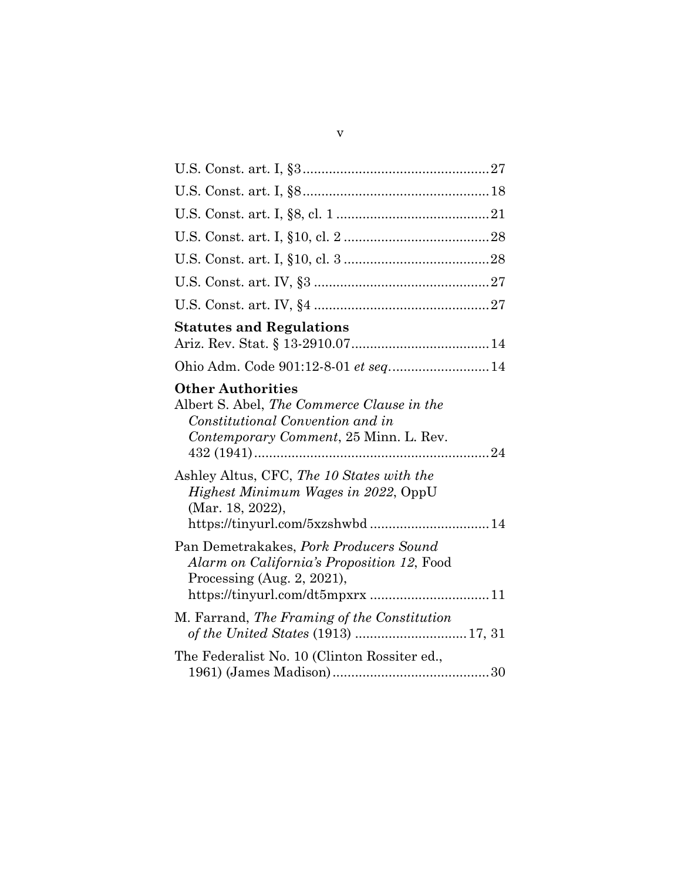| <b>Statutes and Regulations</b>                                                                                                                           |  |
|-----------------------------------------------------------------------------------------------------------------------------------------------------------|--|
| Ohio Adm. Code 901:12-8-01 et seq 14                                                                                                                      |  |
| <b>Other Authorities</b><br>Albert S. Abel, The Commerce Clause in the<br>Constitutional Convention and in<br>Contemporary Comment, 25 Minn. L. Rev.      |  |
| Ashley Altus, CFC, The 10 States with the<br>Highest Minimum Wages in 2022, OppU<br>(Mar. 18, 2022),<br>https://tinyurl.com/5xzshwbd 14                   |  |
| Pan Demetrakakes, Pork Producers Sound<br>Alarm on California's Proposition 12, Food<br>Processing (Aug. $2$ , 2021),<br>https://tinyurl.com/dt5mpxrx  11 |  |
| M. Farrand, The Framing of the Constitution                                                                                                               |  |
| The Federalist No. 10 (Clinton Rossiter ed.,                                                                                                              |  |
|                                                                                                                                                           |  |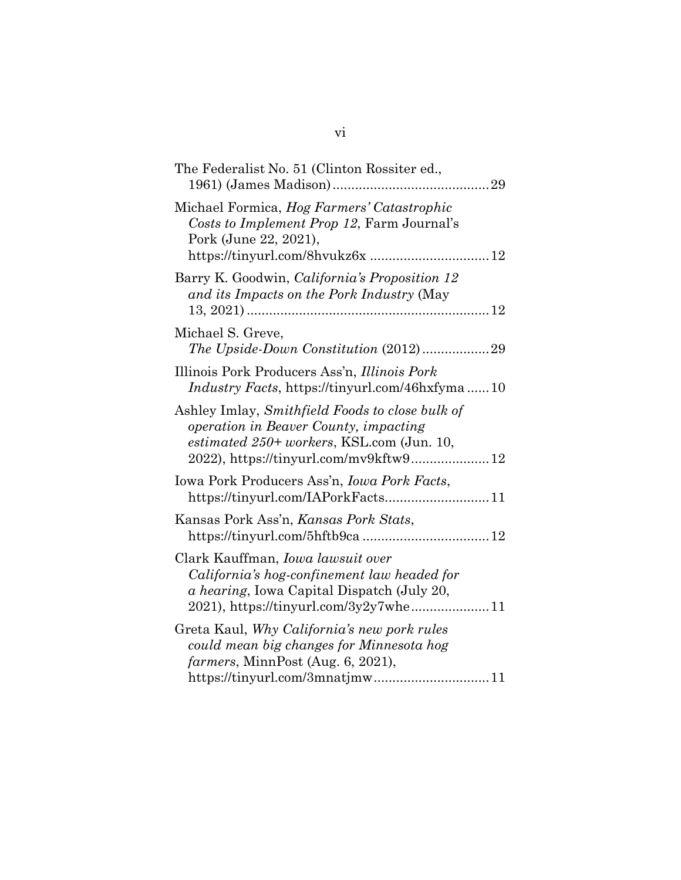| The Federalist No. 51 (Clinton Rossiter ed.,                                                                                                                                             |
|------------------------------------------------------------------------------------------------------------------------------------------------------------------------------------------|
| Michael Formica, Hog Farmers' Catastrophic<br>Costs to Implement Prop 12, Farm Journal's<br>Pork (June 22, 2021),                                                                        |
| Barry K. Goodwin, California's Proposition 12<br>and its Impacts on the Pork Industry (May                                                                                               |
| Michael S. Greve,<br>The Upside-Down Constitution (2012)29                                                                                                                               |
| Illinois Pork Producers Ass'n, Illinois Pork<br><i>Industry Facts, https://tinyurl.com/46hxfyma10</i>                                                                                    |
| Ashley Imlay, Smithfield Foods to close bulk of<br><i>operation in Beaver County, impacting</i><br>estimated $250+$ workers, KSL.com (Jun. 10,<br>2022), https://tinyurl.com/mv9kftw9 12 |
| Iowa Pork Producers Ass'n, <i>Iowa Pork Facts</i> ,                                                                                                                                      |
| Kansas Pork Ass'n, Kansas Pork Stats,                                                                                                                                                    |
| Clark Kauffman, <i>Iowa lawsuit over</i><br>California's hog-confinement law headed for<br>a hearing, Iowa Capital Dispatch (July 20,<br>2021), https://tinyurl.com/3y2y7whe 11          |
| Greta Kaul, Why California's new pork rules<br>could mean big changes for Minnesota hog<br>farmers, MinnPost (Aug. 6, 2021),<br>https://tinyurl.com/3mnatjmw11                           |
|                                                                                                                                                                                          |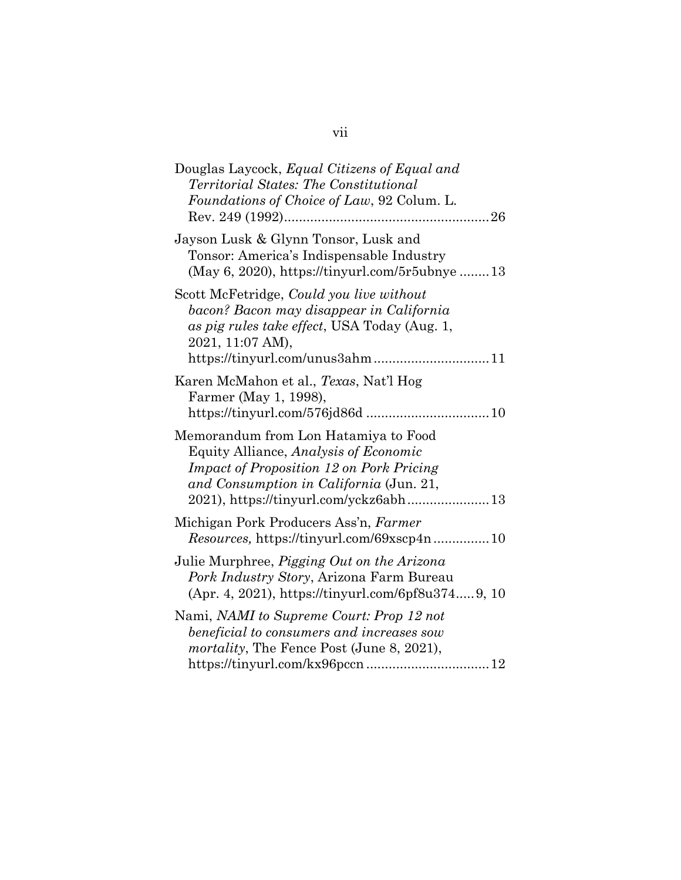# vii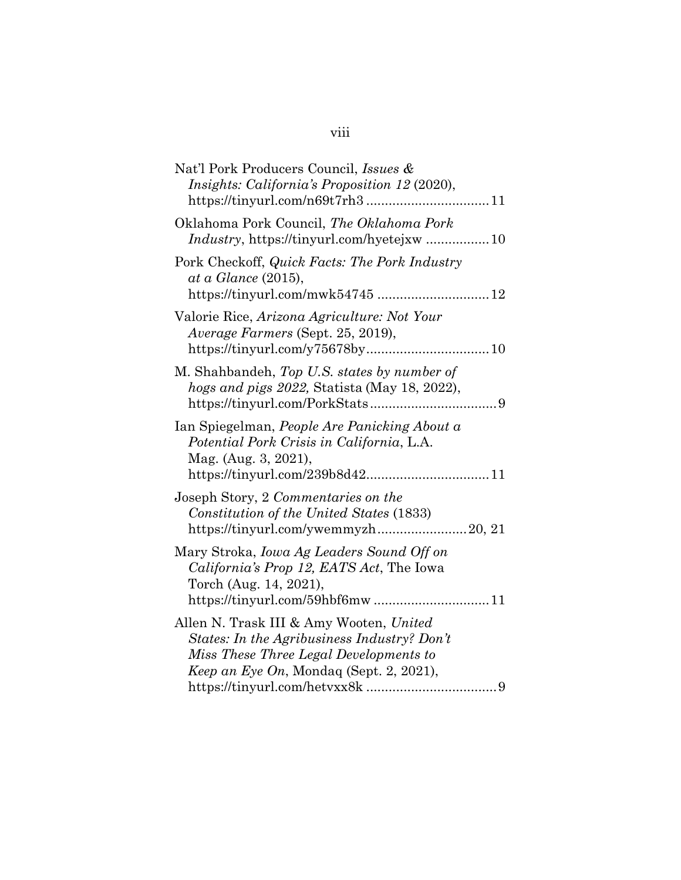| Nat'l Pork Producers Council, Issues &<br>Insights: California's Proposition 12 (2020),                                                                                                  |
|------------------------------------------------------------------------------------------------------------------------------------------------------------------------------------------|
| Oklahoma Pork Council, The Oklahoma Pork                                                                                                                                                 |
| Pork Checkoff, Quick Facts: The Pork Industry<br>at a Glance (2015),<br>https://tinyurl.com/mwk54745  12                                                                                 |
| Valorie Rice, Arizona Agriculture: Not Your<br>Average Farmers (Sept. 25, 2019),                                                                                                         |
| M. Shahbandeh, Top U.S. states by number of<br>hogs and pigs 2022, Statista (May 18, 2022),                                                                                              |
| Ian Spiegelman, People Are Panicking About a<br>Potential Pork Crisis in California, L.A.<br>Mag. (Aug. 3, 2021),<br>https://tinyurl.com/239b8d4211                                      |
| Joseph Story, 2 Commentaries on the<br>Constitution of the United States (1833)<br>https://tinyurl.com/ywemmyzh20, 21                                                                    |
| Mary Stroka, <i>Iowa Ag Leaders Sound Off on</i><br>California's Prop 12, EATS Act, The Iowa<br>Torch (Aug. 14, 2021),<br>https://tinyurl.com/59hbf6mw11                                 |
| Allen N. Trask III & Amy Wooten, United<br>States: In the Agribusiness Industry? Don't<br>Miss These Three Legal Developments to<br><i>Keep an Eye On</i> , Mondaq (Sept. 2, 2021),<br>9 |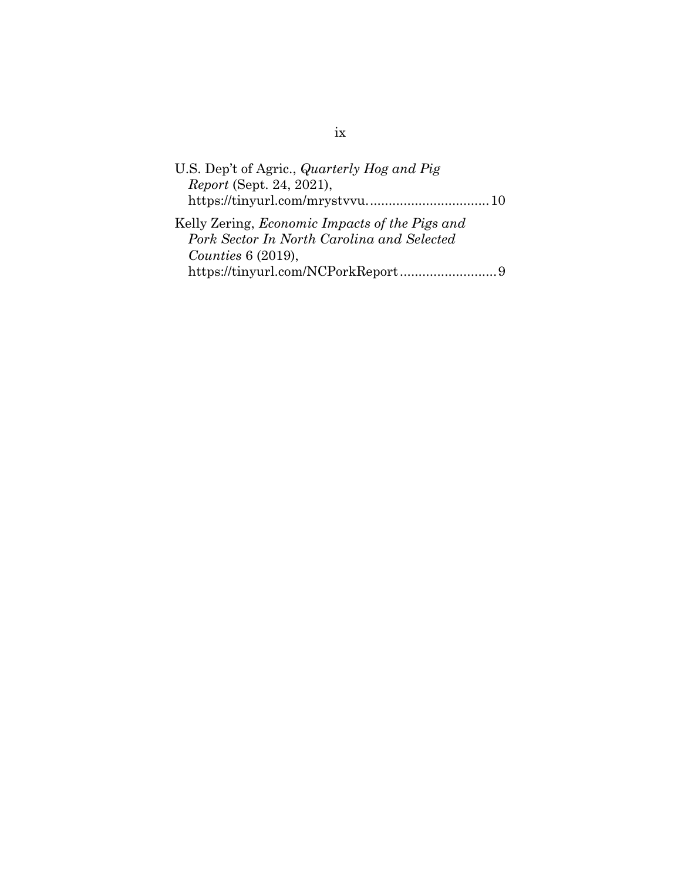| U.S. Dep't of Agric., <i>Quarterly Hog and Pig</i>    |  |
|-------------------------------------------------------|--|
| <i>Report</i> (Sept. 24, 2021),                       |  |
|                                                       |  |
| Kelly Zering, <i>Economic Impacts of the Pigs and</i> |  |
| Pork Sector In North Carolina and Selected            |  |
| Counties $6(2019)$ ,                                  |  |
|                                                       |  |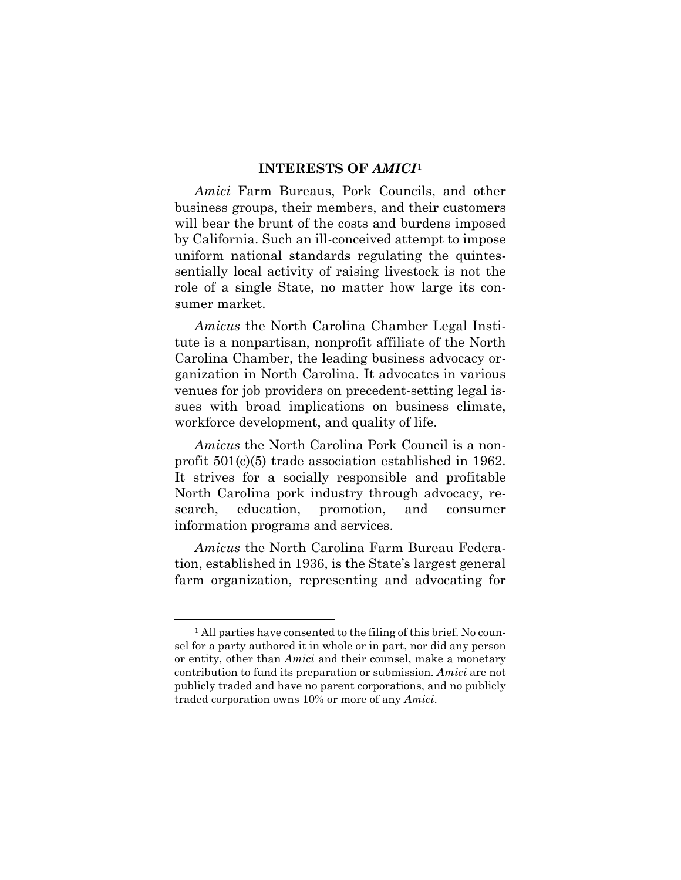#### **INTERESTS OF** *AMICI*[1](#page-10-1)

<span id="page-10-0"></span>*Amici* Farm Bureaus, Pork Councils, and other business groups, their members, and their customers will bear the brunt of the costs and burdens imposed by California. Such an ill-conceived attempt to impose uniform national standards regulating the quintessentially local activity of raising livestock is not the role of a single State, no matter how large its consumer market.

*Amicus* the North Carolina Chamber Legal Institute is a nonpartisan, nonprofit affiliate of the North Carolina Chamber, the leading business advocacy organization in North Carolina. It advocates in various venues for job providers on precedent-setting legal issues with broad implications on business climate, workforce development, and quality of life.

*Amicus* the North Carolina Pork Council is a nonprofit 501(c)(5) trade association established in 1962. It strives for a socially responsible and profitable North Carolina pork industry through advocacy, research, education, promotion, and consumer information programs and services.

*Amicus* the North Carolina Farm Bureau Federation, established in 1936, is the State's largest general farm organization, representing and advocating for

<span id="page-10-1"></span><sup>&</sup>lt;sup>1</sup> All parties have consented to the filing of this brief. No counsel for a party authored it in whole or in part, nor did any person or entity, other than *Amici* and their counsel, make a monetary contribution to fund its preparation or submission. *Amici* are not publicly traded and have no parent corporations, and no publicly traded corporation owns 10% or more of any *Amici*.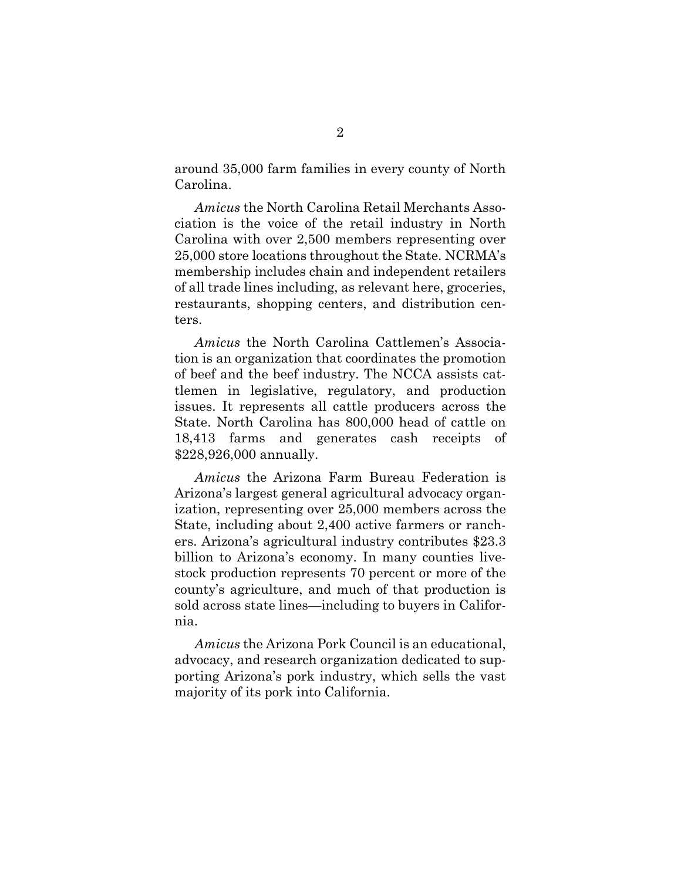around 35,000 farm families in every county of North Carolina.

*Amicus* the North Carolina Retail Merchants Association is the voice of the retail industry in North Carolina with over 2,500 members representing over 25,000 store locations throughout the State. NCRMA's membership includes chain and independent retailers of all trade lines including, as relevant here, groceries, restaurants, shopping centers, and distribution centers.

*Amicus* the North Carolina Cattlemen's Association is an organization that coordinates the promotion of beef and the beef industry. The NCCA assists cattlemen in legislative, regulatory, and production issues. It represents all cattle producers across the State. North Carolina has 800,000 head of cattle on 18,413 farms and generates cash receipts of \$228,926,000 annually.

*Amicus* the Arizona Farm Bureau Federation is Arizona's largest general agricultural advocacy organization, representing over 25,000 members across the State, including about 2,400 active farmers or ranchers. Arizona's agricultural industry contributes \$23.3 billion to Arizona's economy. In many counties livestock production represents 70 percent or more of the county's agriculture, and much of that production is sold across state lines—including to buyers in California.

*Amicus* the Arizona Pork Council is an educational, advocacy, and research organization dedicated to supporting Arizona's pork industry, which sells the vast majority of its pork into California.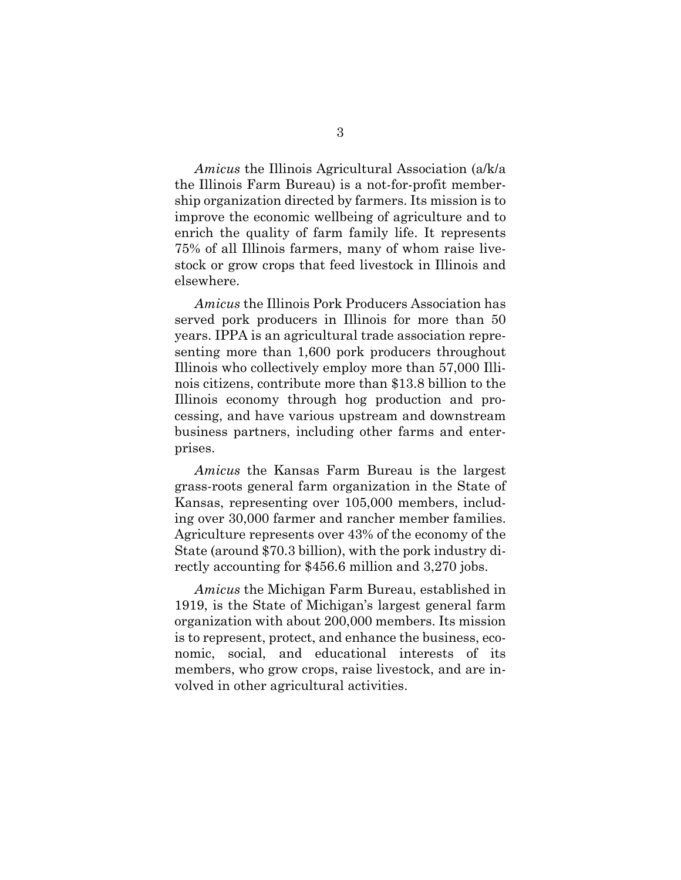*Amicus* the Illinois Agricultural Association (a/k/a the Illinois Farm Bureau) is a not-for-profit membership organization directed by farmers. Its mission is to improve the economic wellbeing of agriculture and to enrich the quality of farm family life. It represents 75% of all Illinois farmers, many of whom raise livestock or grow crops that feed livestock in Illinois and elsewhere.

*Amicus* the Illinois Pork Producers Association has served pork producers in Illinois for more than 50 years. IPPA is an agricultural trade association representing more than 1,600 pork producers throughout Illinois who collectively employ more than 57,000 Illinois citizens, contribute more than \$13.8 billion to the Illinois economy through hog production and processing, and have various upstream and downstream business partners, including other farms and enterprises.

*Amicus* the Kansas Farm Bureau is the largest grass-roots general farm organization in the State of Kansas, representing over 105,000 members, including over 30,000 farmer and rancher member families. Agriculture represents over 43% of the economy of the State (around \$70.3 billion), with the pork industry directly accounting for \$456.6 million and 3,270 jobs.

*Amicus* the Michigan Farm Bureau, established in 1919, is the State of Michigan's largest general farm organization with about 200,000 members. Its mission is to represent, protect, and enhance the business, economic, social, and educational interests of its members, who grow crops, raise livestock, and are involved in other agricultural activities.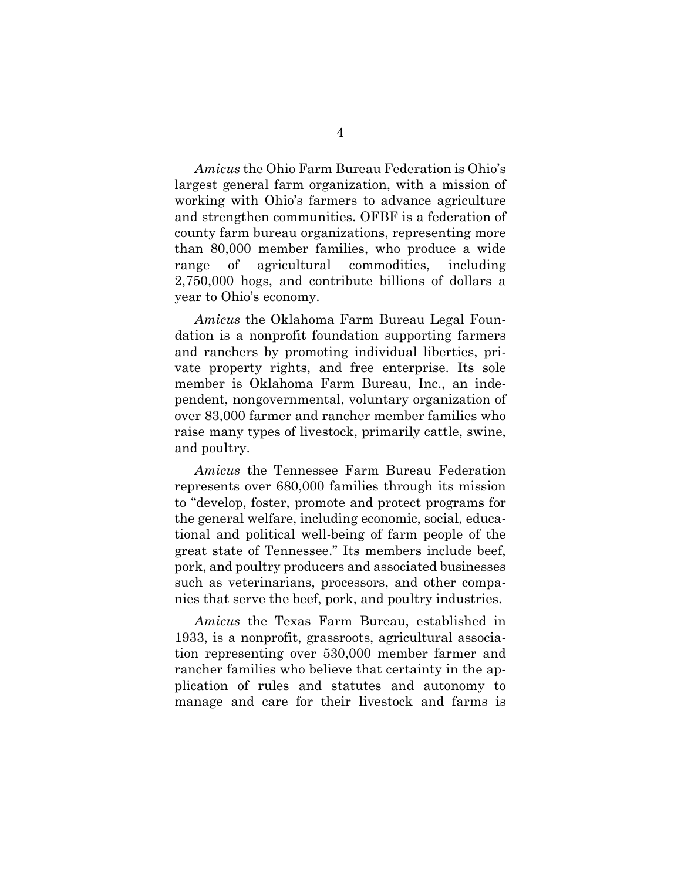*Amicus* the Ohio Farm Bureau Federation is Ohio's largest general farm organization, with a mission of working with Ohio's farmers to advance agriculture and strengthen communities. OFBF is a federation of county farm bureau organizations, representing more than 80,000 member families, who produce a wide range of agricultural commodities, including 2,750,000 hogs, and contribute billions of dollars a year to Ohio's economy.

*Amicus* the Oklahoma Farm Bureau Legal Foundation is a nonprofit foundation supporting farmers and ranchers by promoting individual liberties, private property rights, and free enterprise. Its sole member is Oklahoma Farm Bureau, Inc., an independent, nongovernmental, voluntary organization of over 83,000 farmer and rancher member families who raise many types of livestock, primarily cattle, swine, and poultry.

*Amicus* the Tennessee Farm Bureau Federation represents over 680,000 families through its mission to "develop, foster, promote and protect programs for the general welfare, including economic, social, educational and political well-being of farm people of the great state of Tennessee." Its members include beef, pork, and poultry producers and associated businesses such as veterinarians, processors, and other companies that serve the beef, pork, and poultry industries.

*Amicus* the Texas Farm Bureau, established in 1933, is a nonprofit, grassroots, agricultural association representing over 530,000 member farmer and rancher families who believe that certainty in the application of rules and statutes and autonomy to manage and care for their livestock and farms is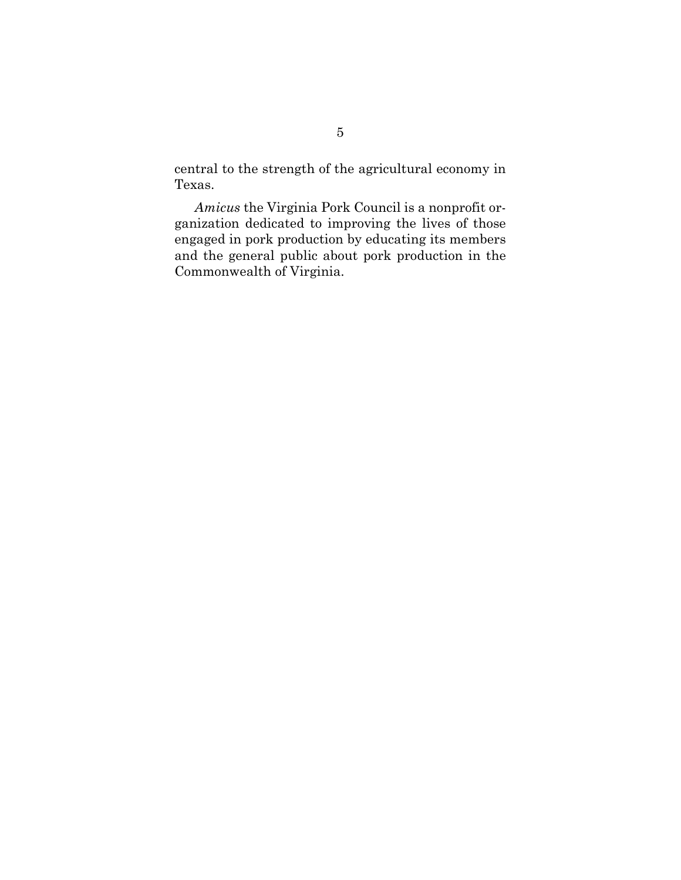central to the strength of the agricultural economy in Texas.

*Amicus* the Virginia Pork Council is a nonprofit organization dedicated to improving the lives of those engaged in pork production by educating its members and the general public about pork production in the Commonwealth of Virginia.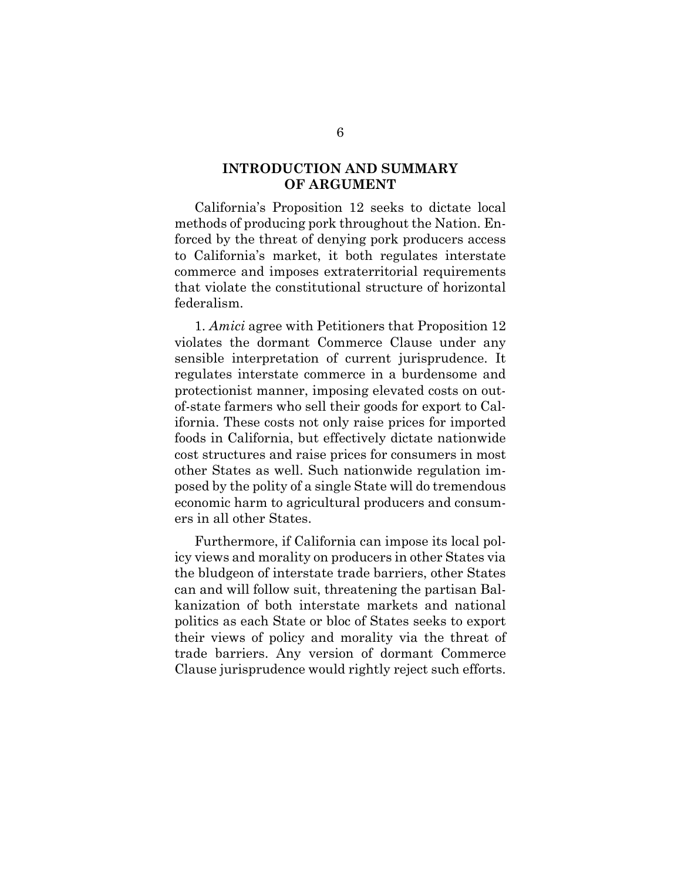### **INTRODUCTION AND SUMMARY OF ARGUMENT**

<span id="page-15-0"></span>California's Proposition 12 seeks to dictate local methods of producing pork throughout the Nation. Enforced by the threat of denying pork producers access to California's market, it both regulates interstate commerce and imposes extraterritorial requirements that violate the constitutional structure of horizontal federalism.

1. *Amici* agree with Petitioners that Proposition 12 violates the dormant Commerce Clause under any sensible interpretation of current jurisprudence. It regulates interstate commerce in a burdensome and protectionist manner, imposing elevated costs on outof-state farmers who sell their goods for export to California. These costs not only raise prices for imported foods in California, but effectively dictate nationwide cost structures and raise prices for consumers in most other States as well. Such nationwide regulation imposed by the polity of a single State will do tremendous economic harm to agricultural producers and consumers in all other States.

Furthermore, if California can impose its local policy views and morality on producers in other States via the bludgeon of interstate trade barriers, other States can and will follow suit, threatening the partisan Balkanization of both interstate markets and national politics as each State or bloc of States seeks to export their views of policy and morality via the threat of trade barriers. Any version of dormant Commerce Clause jurisprudence would rightly reject such efforts.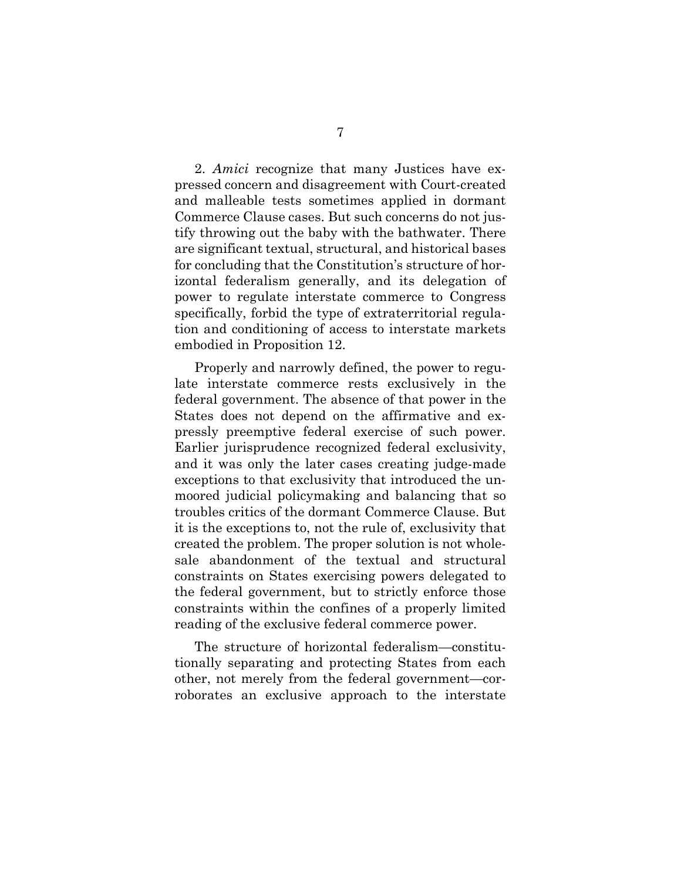2. *Amici* recognize that many Justices have expressed concern and disagreement with Court-created and malleable tests sometimes applied in dormant Commerce Clause cases. But such concerns do not justify throwing out the baby with the bathwater. There are significant textual, structural, and historical bases for concluding that the Constitution's structure of horizontal federalism generally, and its delegation of power to regulate interstate commerce to Congress specifically, forbid the type of extraterritorial regulation and conditioning of access to interstate markets embodied in Proposition 12.

Properly and narrowly defined, the power to regulate interstate commerce rests exclusively in the federal government. The absence of that power in the States does not depend on the affirmative and expressly preemptive federal exercise of such power. Earlier jurisprudence recognized federal exclusivity, and it was only the later cases creating judge-made exceptions to that exclusivity that introduced the unmoored judicial policymaking and balancing that so troubles critics of the dormant Commerce Clause. But it is the exceptions to, not the rule of, exclusivity that created the problem. The proper solution is not wholesale abandonment of the textual and structural constraints on States exercising powers delegated to the federal government, but to strictly enforce those constraints within the confines of a properly limited reading of the exclusive federal commerce power.

The structure of horizontal federalism—constitutionally separating and protecting States from each other, not merely from the federal government—corroborates an exclusive approach to the interstate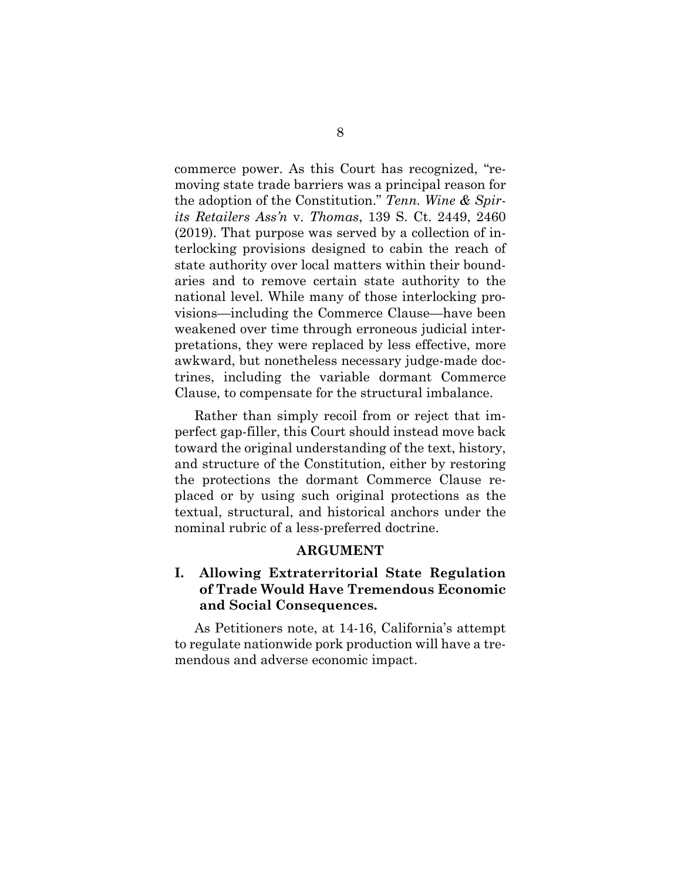commerce power. As this Court has recognized, "removing state trade barriers was a principal reason for the adoption of the Constitution." *Tenn. Wine & Spirits Retailers Ass'n* v. *Thomas*, 139 S. Ct. 2449, 2460 (2019). That purpose was served by a collection of interlocking provisions designed to cabin the reach of state authority over local matters within their boundaries and to remove certain state authority to the national level. While many of those interlocking provisions—including the Commerce Clause—have been weakened over time through erroneous judicial interpretations, they were replaced by less effective, more awkward, but nonetheless necessary judge-made doctrines, including the variable dormant Commerce Clause, to compensate for the structural imbalance.

Rather than simply recoil from or reject that imperfect gap-filler, this Court should instead move back toward the original understanding of the text, history, and structure of the Constitution, either by restoring the protections the dormant Commerce Clause replaced or by using such original protections as the textual, structural, and historical anchors under the nominal rubric of a less-preferred doctrine.

#### **ARGUMENT**

## <span id="page-17-1"></span><span id="page-17-0"></span>**I. Allowing Extraterritorial State Regulation of Trade Would Have Tremendous Economic and Social Consequences.**

As Petitioners note, at 14-16, California's attempt to regulate nationwide pork production will have a tremendous and adverse economic impact.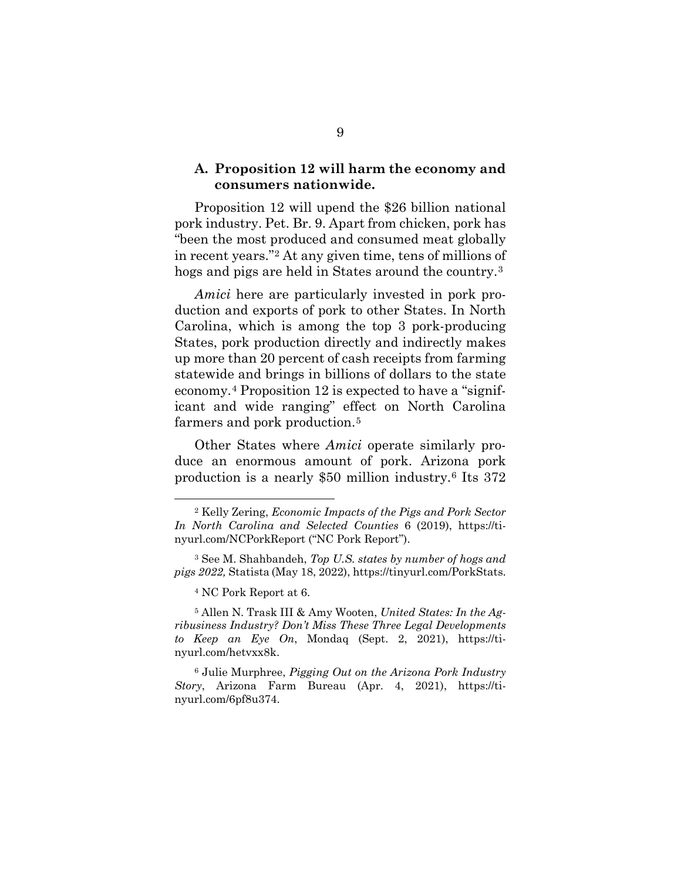#### <span id="page-18-0"></span>**A. Proposition 12 will harm the economy and consumers nationwide.**

Proposition 12 will upend the \$26 billion national pork industry. Pet. Br. 9. Apart from chicken, pork has "been the most produced and consumed meat globally in recent years."[2](#page-18-1) At any given time, tens of millions of hogs and pigs are held in States around the country.[3](#page-18-2)

*Amici* here are particularly invested in pork production and exports of pork to other States. In North Carolina, which is among the top 3 pork-producing States, pork production directly and indirectly makes up more than 20 percent of cash receipts from farming statewide and brings in billions of dollars to the state economy.[4](#page-18-3) Proposition 12 is expected to have a "significant and wide ranging" effect on North Carolina farmers and pork production.<sup>5</sup>

Other States where *Amici* operate similarly produce an enormous amount of pork. Arizona pork production is a nearly \$50 million industry.[6](#page-18-5) Its 372

<sup>4</sup> NC Pork Report at 6.

<span id="page-18-4"></span><sup>5</sup> Allen N. Trask III & Amy Wooten, *United States: In the Agribusiness Industry? Don't Miss These Three Legal Developments to Keep an Eye On*, Mondaq (Sept. 2, 2021), [https://ti](https://tinyurl.com/hetvxx8k)[nyurl.com/hetvxx8k.](https://tinyurl.com/hetvxx8k)

<span id="page-18-5"></span><sup>6</sup> Julie Murphree, *Pigging Out on the Arizona Pork Industry Story*, Arizona Farm Bureau (Apr. 4, 2021), [https://ti](https://tinyurl.com/6pf8u374)[nyurl.com/6pf8u374.](https://tinyurl.com/6pf8u374)

<span id="page-18-1"></span><sup>2</sup> Kelly Zering, *Economic Impacts of the Pigs and Pork Sector In North Carolina and Selected Counties* 6 (2019), [https://ti](https://tinyurl.com/NCPorkReport)[nyurl.com/NCPorkReport](https://tinyurl.com/NCPorkReport) ("NC Pork Report").

<span id="page-18-3"></span><span id="page-18-2"></span><sup>3</sup> See M. Shahbandeh, *Top U.S. states by number of hogs and pigs 2022,* Statista (May 18, 2022)[, https://tinyurl.com/PorkStats.](https://tinyurl.com/PorkStats)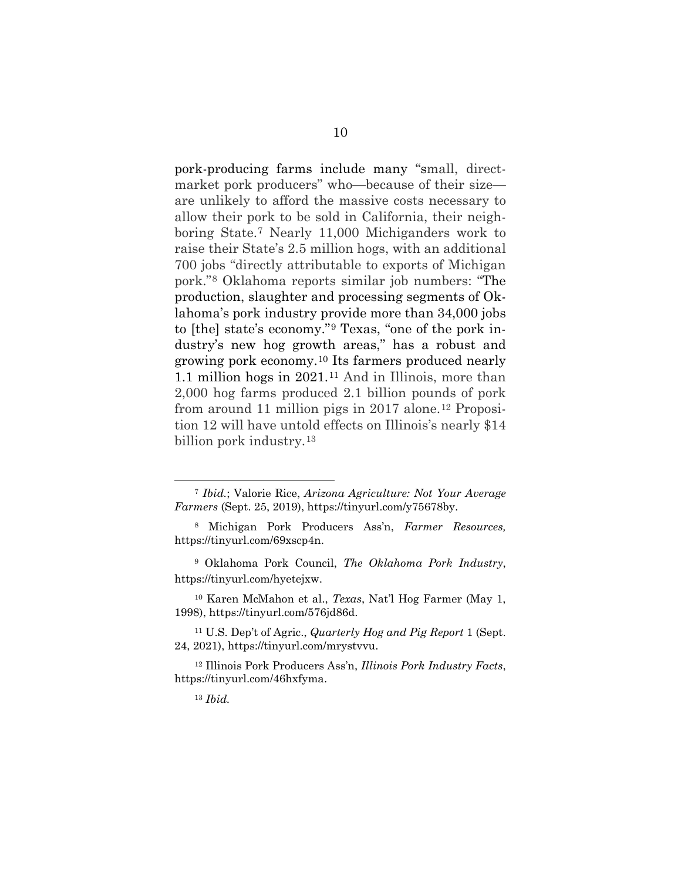pork-producing farms include many "small, directmarket pork producers" who—because of their size are unlikely to afford the massive costs necessary to allow their pork to be sold in California, their neighboring State.[7](#page-19-0) Nearly 11,000 Michiganders work to raise their State's 2.5 million hogs, with an additional 700 jobs "directly attributable to exports of Michigan pork."[8](#page-19-1) Oklahoma reports similar job numbers: "The production, slaughter and processing segments of Oklahoma's pork industry provide more than 34,000 jobs to [the] state's economy."[9](#page-19-2) Texas, "one of the pork industry's new hog growth areas," has a robust and growing pork economy.[10](#page-19-3) Its farmers produced nearly 1.1 million hogs in 2021.[11](#page-19-4) And in Illinois, more than 2,000 hog farms produced 2.1 billion pounds of pork from around 11 million pigs in 2017 alone.<sup>12</sup> Proposition 12 will have untold effects on Illinois's nearly \$14 billion pork industry.[13](#page-19-6)

<span id="page-19-0"></span><sup>7</sup> *Ibid.*; Valorie Rice, *Arizona Agriculture: Not Your Average Farmers* (Sept. 25, 2019), [https://tinyurl.com/y75678by.](https://tinyurl.com/y75678by)

<span id="page-19-1"></span><sup>8</sup> Michigan Pork Producers Ass'n, *Farmer Resources,*  [https://tinyurl.com/69xscp4n.](https://tinyurl.com/69xscp4n)

<span id="page-19-2"></span><sup>9</sup> Oklahoma Pork Council, *The Oklahoma Pork Industry*, [https://tinyurl.com/hyetejxw.](https://tinyurl.com/hyetejxw)

<span id="page-19-3"></span><sup>10</sup> Karen McMahon et al., *Texas*, Nat'l Hog Farmer (May 1, 1998), [https://tinyurl.com/576jd86d.](https://tinyurl.com/576jd86d)

<span id="page-19-4"></span><sup>11</sup> U.S. Dep't of Agric., *Quarterly Hog and Pig Report* 1 (Sept. 24, 2021), [https://tinyurl.com/mrystvvu.](https://tinyurl.com/mrystvvu)

<span id="page-19-6"></span><span id="page-19-5"></span><sup>12</sup> Illinois Pork Producers Ass'n, *Illinois Pork Industry Facts*, [https://tinyurl.com/46hxfyma.](https://tinyurl.com/46hxfyma)

<sup>13</sup> *Ibid.*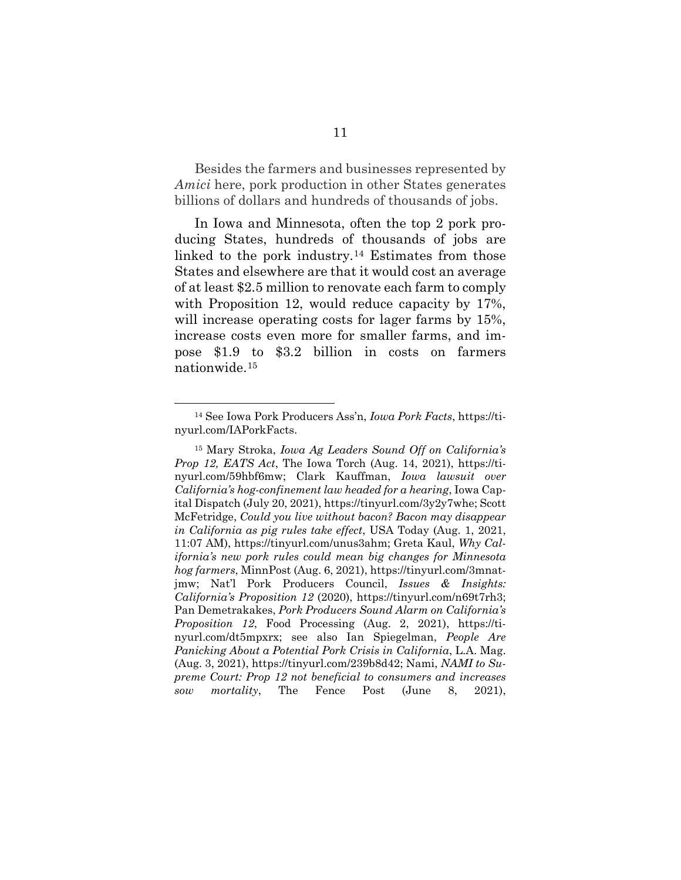Besides the farmers and businesses represented by *Amici* here, pork production in other States generates billions of dollars and hundreds of thousands of jobs.

In Iowa and Minnesota, often the top 2 pork producing States, hundreds of thousands of jobs are linked to the pork industry.[14](#page-20-0) Estimates from those States and elsewhere are that it would cost an average of at least \$2.5 million to renovate each farm to comply with Proposition 12, would reduce capacity by 17%, will increase operating costs for lager farms by 15%, increase costs even more for smaller farms, and impose \$1.9 to \$3.2 billion in costs on farmers nationwide.[15](#page-20-1)

<span id="page-20-0"></span><sup>14</sup> See Iowa Pork Producers Ass'n, *Iowa Pork Facts*, [https://ti](https://tinyurl.com/IAPorkFacts)[nyurl.com/IAPorkFacts.](https://tinyurl.com/IAPorkFacts)

<span id="page-20-1"></span><sup>15</sup> Mary Stroka, *Iowa Ag Leaders Sound Off on California's Prop 12, EATS Act*, The Iowa Torch (Aug. 14, 2021), [https://ti](https://tinyurl.com/59hbf6mw)[nyurl.com/59hbf6mw;](https://tinyurl.com/59hbf6mw) Clark Kauffman, *Iowa lawsuit over California's hog-confinement law headed for a hearing*, Iowa Capital Dispatch (July 20, 2021)[, https://tinyurl.com/3y2y7whe;](https://tinyurl.com/3y2y7whe) Scott McFetridge, *Could you live without bacon? Bacon may disappear in California as pig rules take effect*, USA Today (Aug. 1, 2021, 11:07 AM), [https://tinyurl.com/unus3ahm;](https://tinyurl.com/unus3ahm) Greta Kaul, *Why California's new pork rules could mean big changes for Minnesota hog farmers*, MinnPost (Aug. 6, 2021), [https://tinyurl.com/3mnat](https://tinyurl.com/3mnatjmw)[jmw;](https://tinyurl.com/3mnatjmw) Nat'l Pork Producers Council, *Issues & Insights: California's Proposition 12* (2020), [https://tinyurl.com/n69t7rh3;](https://tinyurl.com/n69t7rh3)  Pan Demetrakakes, *Pork Producers Sound Alarm on California's Proposition 12*, Food Processing (Aug. 2, 2021), [https://ti](https://tinyurl.com/dt5mpxrx)[nyurl.com/dt5mpxrx;](https://tinyurl.com/dt5mpxrx) see also Ian Spiegelman, *People Are Panicking About a Potential Pork Crisis in California*, L.A. Mag. (Aug. 3, 2021), [https://tinyurl.com/239b8d42;](https://tinyurl.com/239b8d42) Nami, *NAMI to Supreme Court: Prop 12 not beneficial to consumers and increases sow mortality*, The Fence Post (June 8, 2021),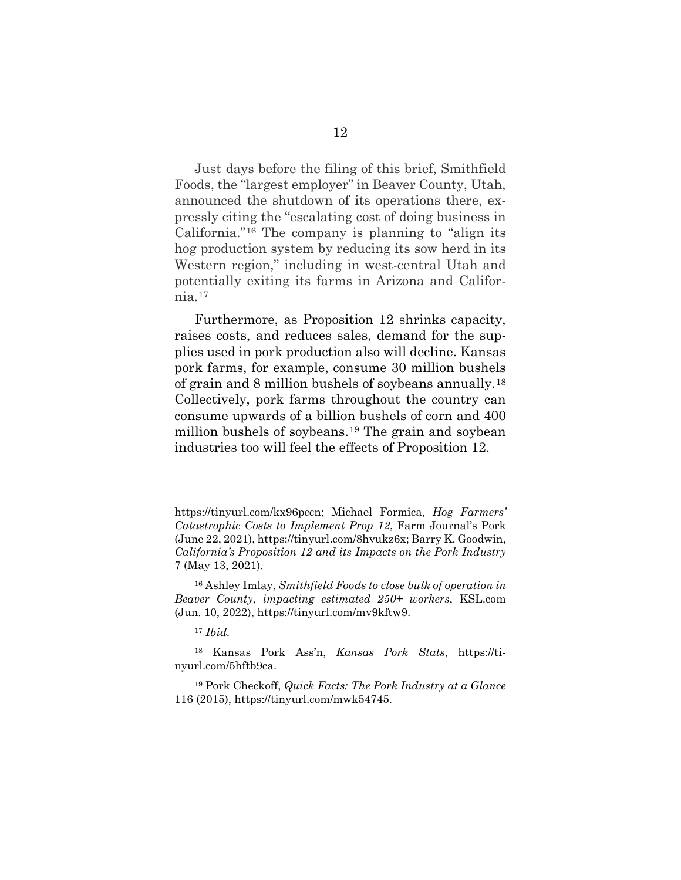Just days before the filing of this brief, Smithfield Foods, the "largest employer" in Beaver County, Utah, announced the shutdown of its operations there, expressly citing the "escalating cost of doing business in California."[16](#page-21-0) The company is planning to "align its hog production system by reducing its sow herd in its Western region," including in west-central Utah and potentially exiting its farms in Arizona and California.[17](#page-21-1)

Furthermore, as Proposition 12 shrinks capacity, raises costs, and reduces sales, demand for the supplies used in pork production also will decline. Kansas pork farms, for example, consume 30 million bushels of grain and 8 million bushels of soybeans annually.[18](#page-21-2) Collectively, pork farms throughout the country can consume upwards of a billion bushels of corn and 400 million bushels of soybeans.[19](#page-21-3) The grain and soybean industries too will feel the effects of Proposition 12.

[https://tinyurl.com/kx96pccn;](https://tinyurl.com/kx96pccn) Michael Formica, *Hog Farmers' Catastrophic Costs to Implement Prop 12*, Farm Journal's Pork (June 22, 2021)[, https://tinyurl.com/8hvukz6x;](https://tinyurl.com/8hvukz6x) Barry K. Goodwin, *California's Proposition 12 and its Impacts on the Pork Industry* 7 (May 13, 2021).

<span id="page-21-0"></span><sup>16</sup> Ashley Imlay, *Smithfield Foods to close bulk of operation in Beaver County, impacting estimated 250+ workers*, KSL.com (Jun. 10, 2022), [https://tinyurl.com/mv9kftw9.](https://tinyurl.com/mv9kftw9)

<sup>17</sup> *Ibid.* 

<span id="page-21-2"></span><span id="page-21-1"></span><sup>18</sup> Kansas Pork Ass'n, *Kansas Pork Stats*, [https://ti](https://tinyurl.com/5hftb9ca)[nyurl.com/5hftb9ca.](https://tinyurl.com/5hftb9ca)

<span id="page-21-3"></span><sup>19</sup> Pork Checkoff, *Quick Facts: The Pork Industry at a Glance* 116 (2015), [https://tinyurl.com/mwk54745.](https://tinyurl.com/mwk54745)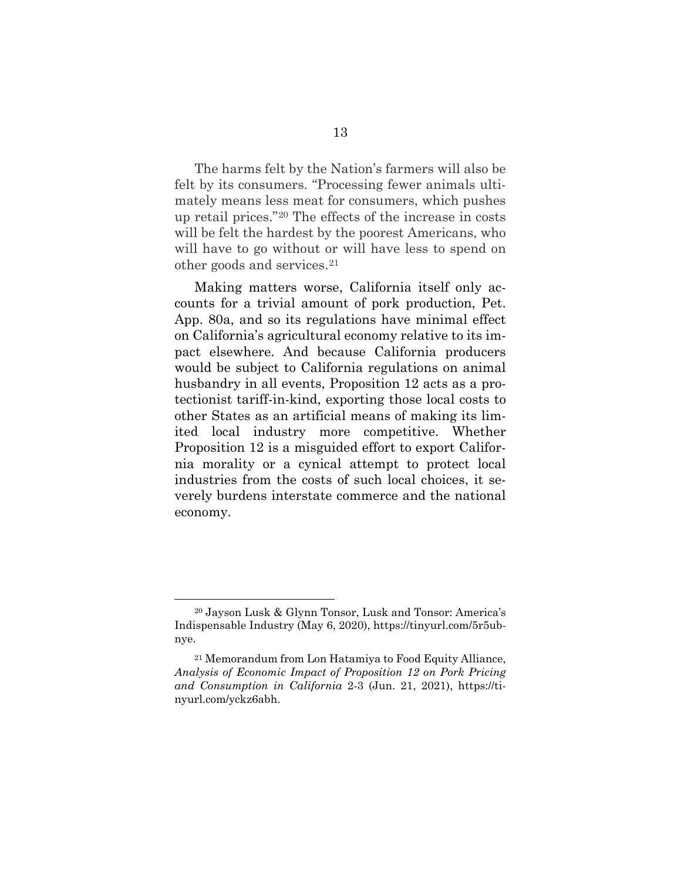The harms felt by the Nation's farmers will also be felt by its consumers. "Processing fewer animals ultimately means less meat for consumers, which pushes up retail prices."[20](#page-22-0) The effects of the increase in costs will be felt the hardest by the poorest Americans, who will have to go without or will have less to spend on other goods and services.[21](#page-22-1) 

Making matters worse, California itself only accounts for a trivial amount of pork production, Pet. App. 80a, and so its regulations have minimal effect on California's agricultural economy relative to its impact elsewhere. And because California producers would be subject to California regulations on animal husbandry in all events, Proposition 12 acts as a protectionist tariff-in-kind, exporting those local costs to other States as an artificial means of making its limited local industry more competitive. Whether Proposition 12 is a misguided effort to export California morality or a cynical attempt to protect local industries from the costs of such local choices, it severely burdens interstate commerce and the national economy.

<span id="page-22-0"></span><sup>20</sup> Jayson Lusk & Glynn Tonsor, Lusk and Tonsor: America's Indispensable Industry (May 6, 2020), [https://tinyurl.com/5r5ub](https://tinyurl.com/5r5ubnye)[nye.](https://tinyurl.com/5r5ubnye)

<span id="page-22-1"></span><sup>21</sup> Memorandum from Lon Hatamiya to Food Equity Alliance, *Analysis of Economic Impact of Proposition 12 on Pork Pricing and Consumption in California* 2-3 (Jun. 21, 2021), [https://ti](https://tinyurl.com/yckz6abh)[nyurl.com/yckz6abh.](https://tinyurl.com/yckz6abh)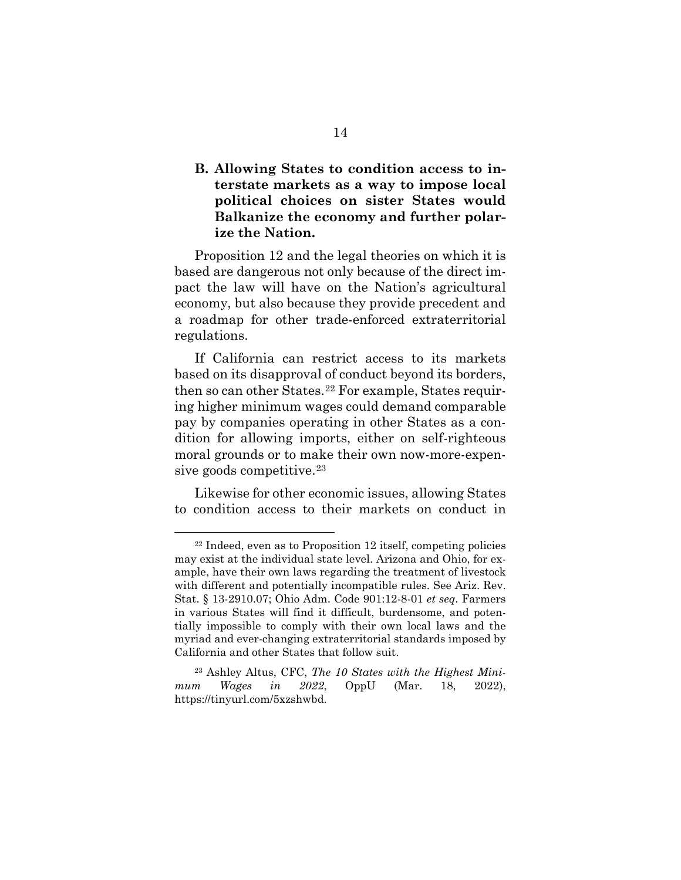<span id="page-23-0"></span>**B. Allowing States to condition access to interstate markets as a way to impose local political choices on sister States would Balkanize the economy and further polarize the Nation.**

Proposition 12 and the legal theories on which it is based are dangerous not only because of the direct impact the law will have on the Nation's agricultural economy, but also because they provide precedent and a roadmap for other trade-enforced extraterritorial regulations.

If California can restrict access to its markets based on its disapproval of conduct beyond its borders, then so can other States.[22](#page-23-1) For example, States requiring higher minimum wages could demand comparable pay by companies operating in other States as a condition for allowing imports, either on self-righteous moral grounds or to make their own now-more-expensive goods competitive.[23](#page-23-2)

Likewise for other economic issues, allowing States to condition access to their markets on conduct in

<span id="page-23-1"></span><sup>22</sup> Indeed, even as to Proposition 12 itself, competing policies may exist at the individual state level. Arizona and Ohio, for example, have their own laws regarding the treatment of livestock with different and potentially incompatible rules. See Ariz. Rev. Stat. § 13-2910.07; Ohio Adm. Code 901:12-8-01 *et seq*. Farmers in various States will find it difficult, burdensome, and potentially impossible to comply with their own local laws and the myriad and ever-changing extraterritorial standards imposed by California and other States that follow suit.

<span id="page-23-2"></span><sup>23</sup> Ashley Altus, CFC, *The 10 States with the Highest Minimum Wages in 2022*, OppU (Mar. 18, 2022), [https://tinyurl.com/5xzshwbd.](https://tinyurl.com/5xzshwbd)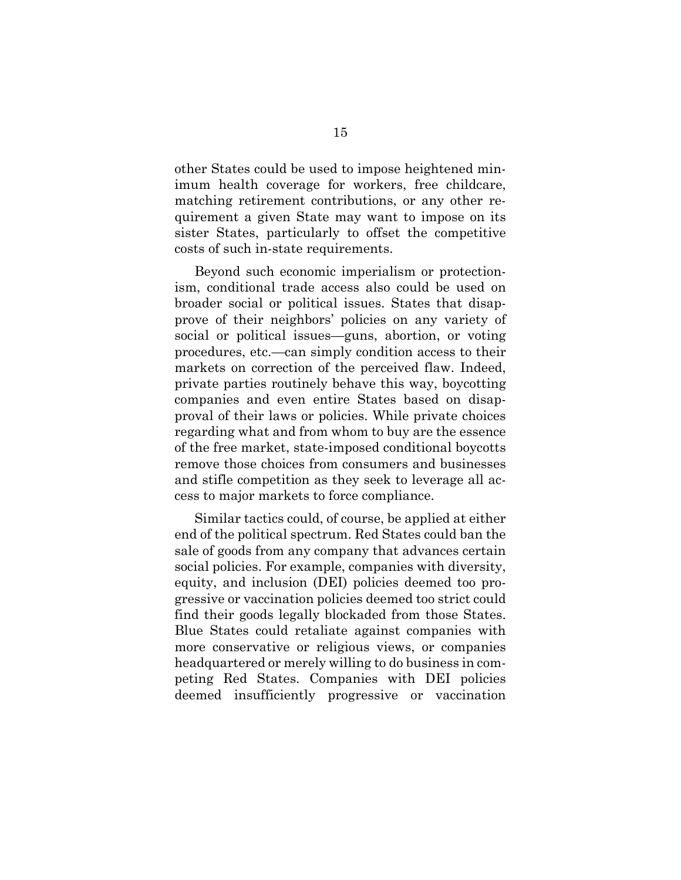other States could be used to impose heightened minimum health coverage for workers, free childcare, matching retirement contributions, or any other requirement a given State may want to impose on its sister States, particularly to offset the competitive costs of such in-state requirements.

Beyond such economic imperialism or protectionism, conditional trade access also could be used on broader social or political issues. States that disapprove of their neighbors' policies on any variety of social or political issues—guns, abortion, or voting procedures, etc.—can simply condition access to their markets on correction of the perceived flaw. Indeed, private parties routinely behave this way, boycotting companies and even entire States based on disapproval of their laws or policies. While private choices regarding what and from whom to buy are the essence of the free market, state-imposed conditional boycotts remove those choices from consumers and businesses and stifle competition as they seek to leverage all access to major markets to force compliance.

Similar tactics could, of course, be applied at either end of the political spectrum. Red States could ban the sale of goods from any company that advances certain social policies. For example, companies with diversity, equity, and inclusion (DEI) policies deemed too progressive or vaccination policies deemed too strict could find their goods legally blockaded from those States. Blue States could retaliate against companies with more conservative or religious views, or companies headquartered or merely willing to do business in competing Red States. Companies with DEI policies deemed insufficiently progressive or vaccination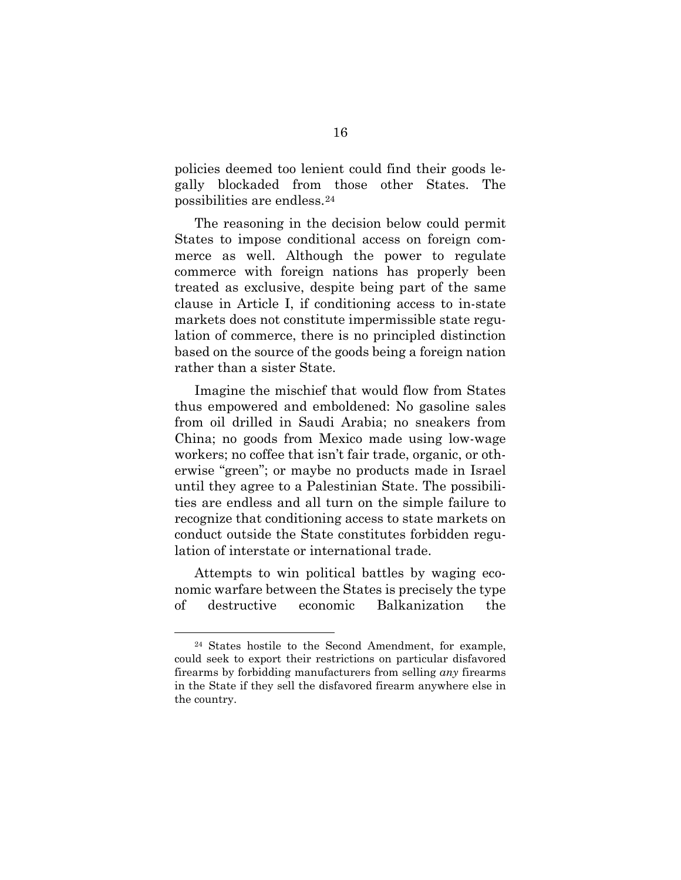policies deemed too lenient could find their goods legally blockaded from those other States. The possibilities are endless.[24](#page-25-0)

The reasoning in the decision below could permit States to impose conditional access on foreign commerce as well. Although the power to regulate commerce with foreign nations has properly been treated as exclusive, despite being part of the same clause in Article I, if conditioning access to in-state markets does not constitute impermissible state regulation of commerce, there is no principled distinction based on the source of the goods being a foreign nation rather than a sister State.

Imagine the mischief that would flow from States thus empowered and emboldened: No gasoline sales from oil drilled in Saudi Arabia; no sneakers from China; no goods from Mexico made using low-wage workers; no coffee that isn't fair trade, organic, or otherwise "green"; or maybe no products made in Israel until they agree to a Palestinian State. The possibilities are endless and all turn on the simple failure to recognize that conditioning access to state markets on conduct outside the State constitutes forbidden regulation of interstate or international trade.

Attempts to win political battles by waging economic warfare between the States is precisely the type of destructive economic Balkanization the

<span id="page-25-0"></span><sup>24</sup> States hostile to the Second Amendment, for example, could seek to export their restrictions on particular disfavored firearms by forbidding manufacturers from selling *any* firearms in the State if they sell the disfavored firearm anywhere else in the country.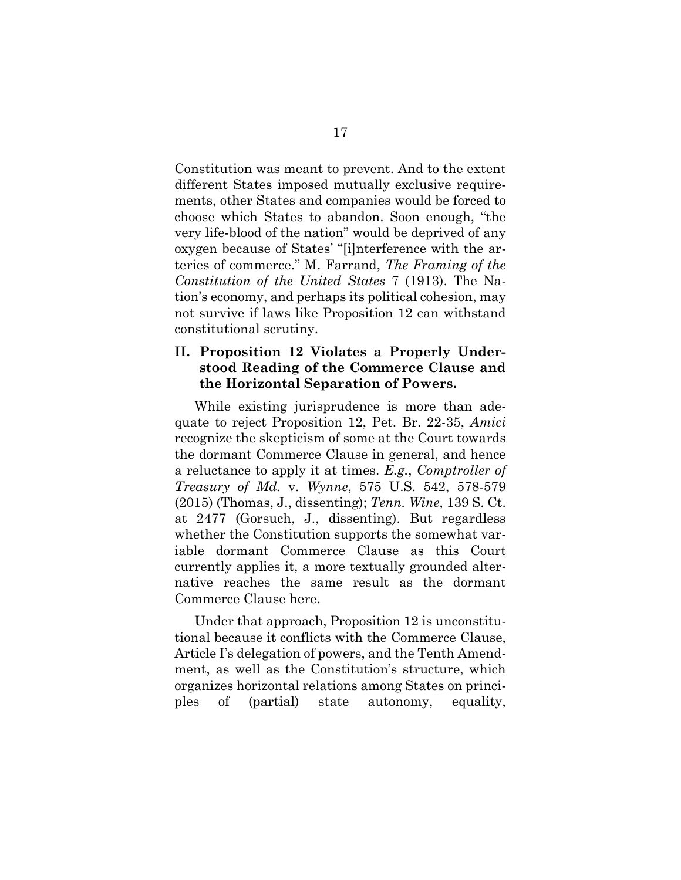Constitution was meant to prevent. And to the extent different States imposed mutually exclusive requirements, other States and companies would be forced to choose which States to abandon. Soon enough, "the very life-blood of the nation" would be deprived of any oxygen because of States' "[i]nterference with the arteries of commerce." M. Farrand, *The Framing of the Constitution of the United States* 7 (1913). The Nation's economy, and perhaps its political cohesion, may not survive if laws like Proposition 12 can withstand constitutional scrutiny.

### <span id="page-26-0"></span>**II. Proposition 12 Violates a Properly Understood Reading of the Commerce Clause and the Horizontal Separation of Powers.**

While existing jurisprudence is more than adequate to reject Proposition 12, Pet. Br. 22-35, *Amici* recognize the skepticism of some at the Court towards the dormant Commerce Clause in general, and hence a reluctance to apply it at times. *E.g.*, *Comptroller of Treasury of Md.* v. *Wynne*, 575 U.S. 542, 578-579 (2015) (Thomas, J., dissenting); *Tenn. Wine*, 139 S. Ct. at 2477 (Gorsuch, J., dissenting). But regardless whether the Constitution supports the somewhat variable dormant Commerce Clause as this Court currently applies it, a more textually grounded alternative reaches the same result as the dormant Commerce Clause here.

Under that approach, Proposition 12 is unconstitutional because it conflicts with the Commerce Clause, Article I's delegation of powers, and the Tenth Amendment, as well as the Constitution's structure, which organizes horizontal relations among States on principles of (partial) state autonomy, equality,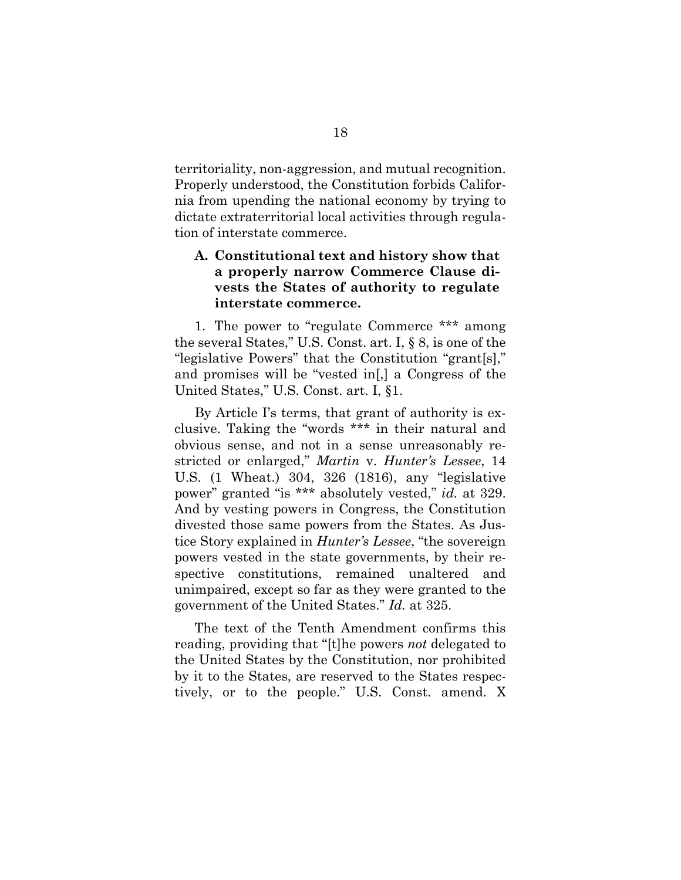territoriality, non-aggression, and mutual recognition. Properly understood, the Constitution forbids California from upending the national economy by trying to dictate extraterritorial local activities through regulation of interstate commerce.

## <span id="page-27-0"></span>**A. Constitutional text and history show that a properly narrow Commerce Clause divests the States of authority to regulate interstate commerce.**

1. The power to "regulate Commerce \*\*\* among the several States," U.S. Const. art. I, § 8, is one of the "legislative Powers" that the Constitution "grant[s]," and promises will be "vested in[,] a Congress of the United States," U.S. Const. art. I, §1.

By Article I's terms, that grant of authority is exclusive. Taking the "words \*\*\* in their natural and obvious sense, and not in a sense unreasonably restricted or enlarged," *Martin* v. *Hunter's Lessee*, 14 U.S. (1 Wheat.) 304, 326 (1816), any "legislative power" granted "is \*\*\* absolutely vested," *id.* at 329. And by vesting powers in Congress, the Constitution divested those same powers from the States. As Justice Story explained in *Hunter's Lessee*, "the sovereign powers vested in the state governments, by their respective constitutions, remained unaltered and unimpaired, except so far as they were granted to the government of the United States." *Id.* at 325.

The text of the Tenth Amendment confirms this reading, providing that "[t]he powers *not* delegated to the United States by the Constitution, nor prohibited by it to the States, are reserved to the States respectively, or to the people." U.S. Const. amend. X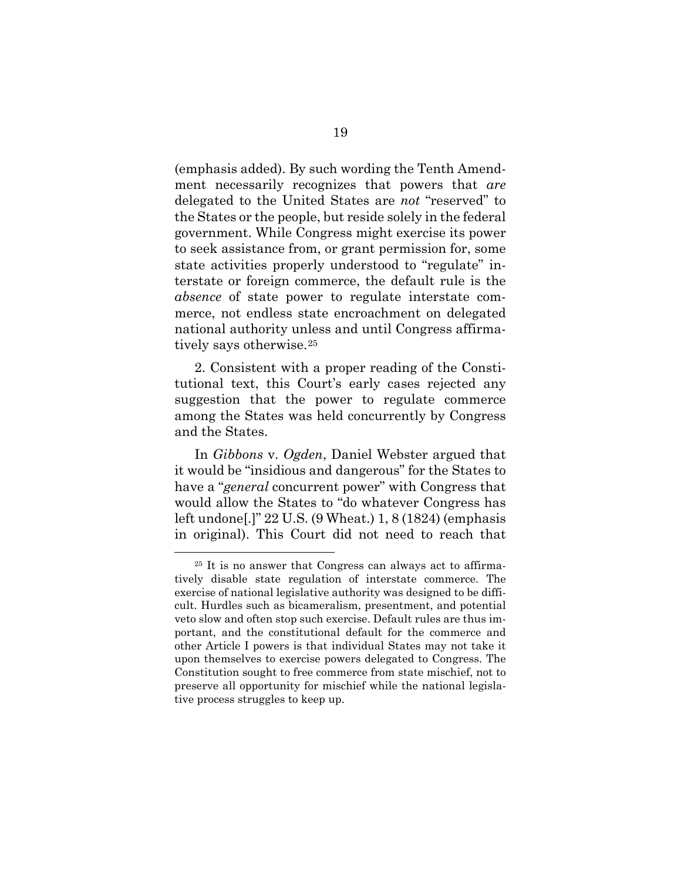(emphasis added). By such wording the Tenth Amendment necessarily recognizes that powers that *are*  delegated to the United States are *not* "reserved" to the States or the people, but reside solely in the federal government. While Congress might exercise its power to seek assistance from, or grant permission for, some state activities properly understood to "regulate" interstate or foreign commerce, the default rule is the *absence* of state power to regulate interstate commerce, not endless state encroachment on delegated national authority unless and until Congress affirmatively says otherwise.[25](#page-28-0) 

2. Consistent with a proper reading of the Constitutional text, this Court's early cases rejected any suggestion that the power to regulate commerce among the States was held concurrently by Congress and the States.

In *Gibbons* v. *Ogden*, Daniel Webster argued that it would be "insidious and dangerous" for the States to have a "*general* concurrent power" with Congress that would allow the States to "do whatever Congress has left undone[.]" 22 U.S. (9 Wheat.) 1, 8 (1824) (emphasis in original). This Court did not need to reach that

<span id="page-28-0"></span><sup>25</sup> It is no answer that Congress can always act to affirmatively disable state regulation of interstate commerce. The exercise of national legislative authority was designed to be difficult. Hurdles such as bicameralism, presentment, and potential veto slow and often stop such exercise. Default rules are thus important, and the constitutional default for the commerce and other Article I powers is that individual States may not take it upon themselves to exercise powers delegated to Congress. The Constitution sought to free commerce from state mischief, not to preserve all opportunity for mischief while the national legislative process struggles to keep up.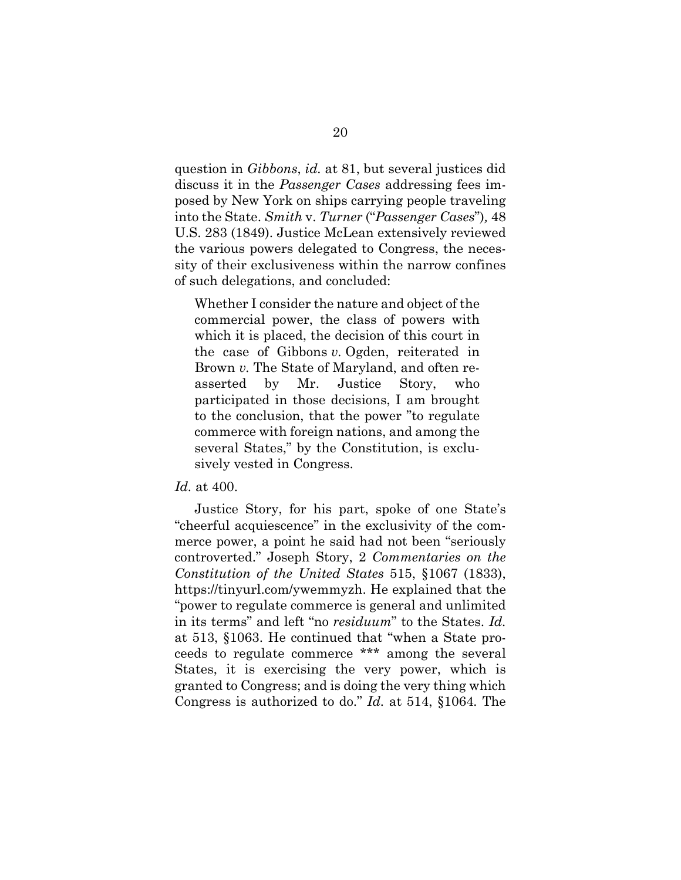question in *Gibbons*, *id.* at 81, but several justices did discuss it in the *Passenger Cases* addressing fees imposed by New York on ships carrying people traveling into the State. *Smith* v. *Turner* ("*Passenger Cases*")*,* 48 U.S. 283 (1849). Justice McLean extensively reviewed the various powers delegated to Congress, the necessity of their exclusiveness within the narrow confines of such delegations, and concluded:

Whether I consider the nature and object of the commercial power, the class of powers with which it is placed, the decision of this court in the case of Gibbons *v.* Ogden, reiterated in Brown *v.* The State of Maryland, and often reasserted by Mr. Justice Story, who participated in those decisions, I am brought to the conclusion, that the power "to regulate commerce with foreign nations, and among the several States," by the Constitution, is exclusively vested in Congress.

#### *Id.* at 400.

Justice Story, for his part, spoke of one State's "cheerful acquiescence" in the exclusivity of the commerce power, a point he said had not been "seriously controverted." Joseph Story, 2 *Commentaries on the Constitution of the United States* 515, §1067 (1833), [https://tinyurl.com/ywemmyzh.](https://tinyurl.com/ywemmyzh) He explained that the "power to regulate commerce is general and unlimited in its terms" and left "no *residuum*" to the States. *Id.* at 513, §1063. He continued that "when a State proceeds to regulate commerce \*\*\* among the several States, it is exercising the very power, which is granted to Congress; and is doing the very thing which Congress is authorized to do." *Id.* at 514, §1064*.* The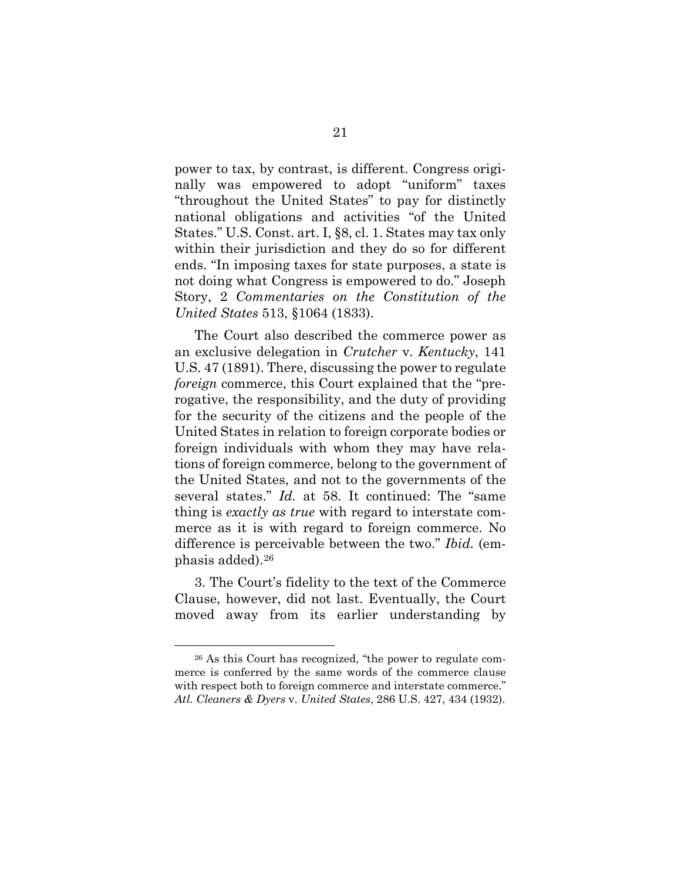power to tax, by contrast, is different. Congress originally was empowered to adopt "uniform" taxes "throughout the United States" to pay for distinctly national obligations and activities "of the United States." U.S. Const. art. I, §8, cl. 1. States may tax only within their jurisdiction and they do so for different ends. "In imposing taxes for state purposes, a state is not doing what Congress is empowered to do." Joseph Story, 2 *Commentaries on the Constitution of the United States* 513, §1064 (1833).

The Court also described the commerce power as an exclusive delegation in *Crutcher* v. *Kentucky*, 141 U.S. 47 (1891). There, discussing the power to regulate *foreign* commerce, this Court explained that the "prerogative, the responsibility, and the duty of providing for the security of the citizens and the people of the United States in relation to foreign corporate bodies or foreign individuals with whom they may have relations of foreign commerce, belong to the government of the United States, and not to the governments of the several states." *Id.* at 58. It continued: The "same thing is *exactly as true* with regard to interstate commerce as it is with regard to foreign commerce. No difference is perceivable between the two." *Ibid.* (emphasis added).[26](#page-30-0)

3. The Court's fidelity to the text of the Commerce Clause, however, did not last. Eventually, the Court moved away from its earlier understanding by

<span id="page-30-0"></span><sup>26</sup> As this Court has recognized, "the power to regulate commerce is conferred by the same words of the commerce clause with respect both to foreign commerce and interstate commerce." *Atl. Cleaners & Dyers* v. *United States*, 286 U.S. 427, 434 (1932).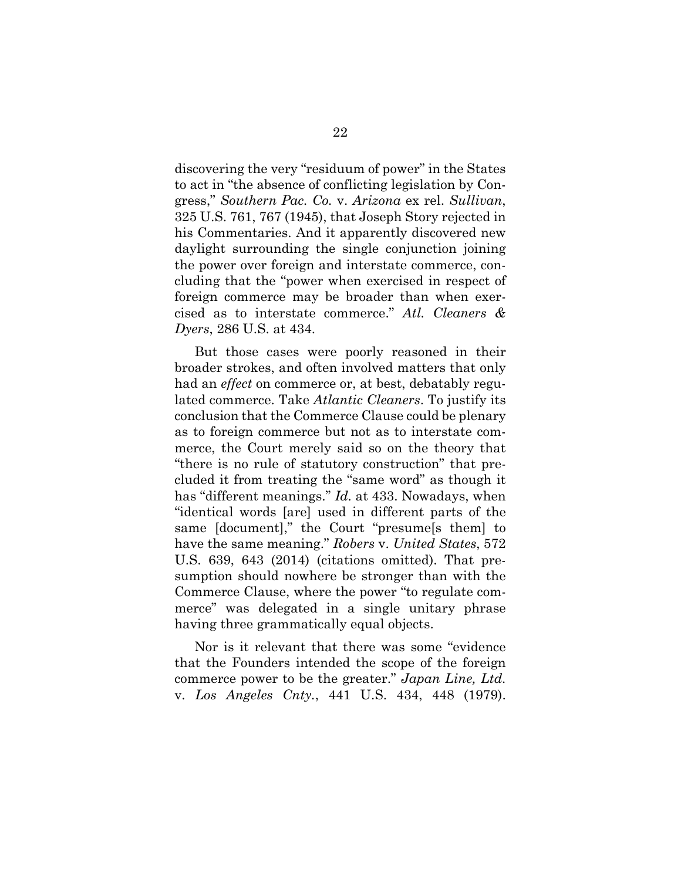discovering the very "residuum of power" in the States to act in "the absence of conflicting legislation by Congress," *Southern Pac. Co.* v. *Arizona* ex rel. *Sullivan*, 325 U.S. 761, 767 (1945), that Joseph Story rejected in his Commentaries. And it apparently discovered new daylight surrounding the single conjunction joining the power over foreign and interstate commerce, concluding that the "power when exercised in respect of foreign commerce may be broader than when exercised as to interstate commerce." *Atl. Cleaners & Dyers*, 286 U.S. at 434.

But those cases were poorly reasoned in their broader strokes, and often involved matters that only had an *effect* on commerce or, at best, debatably regulated commerce. Take *Atlantic Cleaners*. To justify its conclusion that the Commerce Clause could be plenary as to foreign commerce but not as to interstate commerce, the Court merely said so on the theory that "there is no rule of statutory construction" that precluded it from treating the "same word" as though it has "different meanings." *Id.* at 433. Nowadays, when "identical words [are] used in different parts of the same [document]," the Court "presume[s them] to have the same meaning." *Robers* v. *United States*, 572 U.S. 639, 643 (2014) (citations omitted). That presumption should nowhere be stronger than with the Commerce Clause, where the power "to regulate commerce" was delegated in a single unitary phrase having three grammatically equal objects.

Nor is it relevant that there was some "evidence that the Founders intended the scope of the foreign commerce power to be the greater." *Japan Line, Ltd.* v. *Los Angeles Cnty.*, 441 U.S. 434, 448 (1979).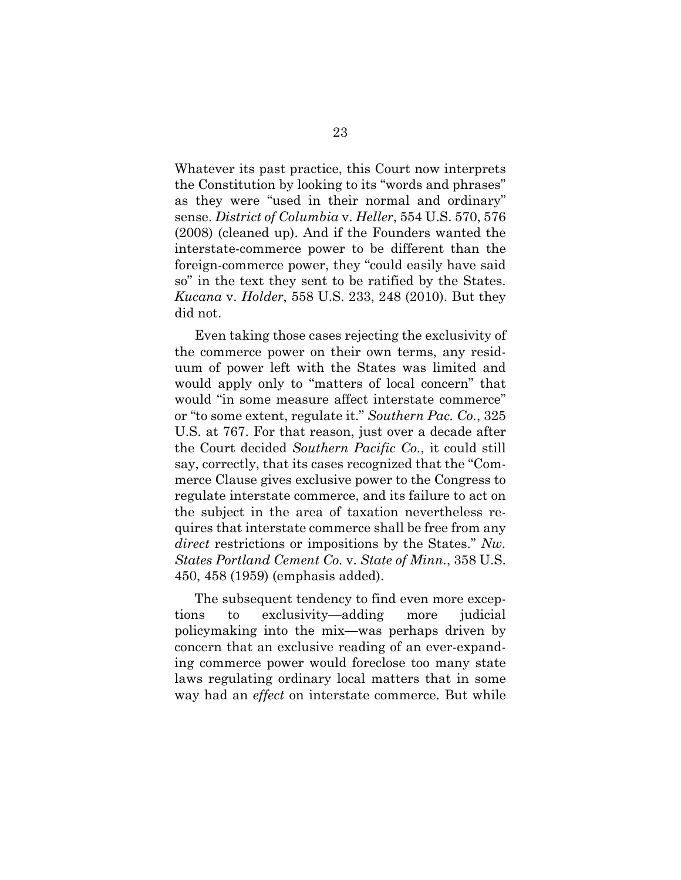Whatever its past practice, this Court now interprets the Constitution by looking to its "words and phrases" as they were "used in their normal and ordinary" sense. *District of Columbia* v. *Heller*, 554 U.S. 570, 576 (2008) (cleaned up). And if the Founders wanted the interstate-commerce power to be different than the foreign-commerce power, they "could easily have said so" in the text they sent to be ratified by the States. *Kucana* v. *Holder*, 558 U.S. 233, 248 (2010). But they did not.

Even taking those cases rejecting the exclusivity of the commerce power on their own terms, any residuum of power left with the States was limited and would apply only to "matters of local concern" that would "in some measure affect interstate commerce" or "to some extent, regulate it." *Southern Pac. Co.*, 325 U.S. at 767. For that reason, just over a decade after the Court decided *Southern Pacific Co.*, it could still say, correctly, that its cases recognized that the "Commerce Clause gives exclusive power to the Congress to regulate interstate commerce, and its failure to act on the subject in the area of taxation nevertheless requires that interstate commerce shall be free from any *direct* restrictions or impositions by the States." *Nw. States Portland Cement Co.* v. *State of Minn.*, 358 U.S. 450, 458 (1959) (emphasis added).

The subsequent tendency to find even more exceptions to exclusivity—adding more judicial policymaking into the mix—was perhaps driven by concern that an exclusive reading of an ever-expanding commerce power would foreclose too many state laws regulating ordinary local matters that in some way had an *effect* on interstate commerce. But while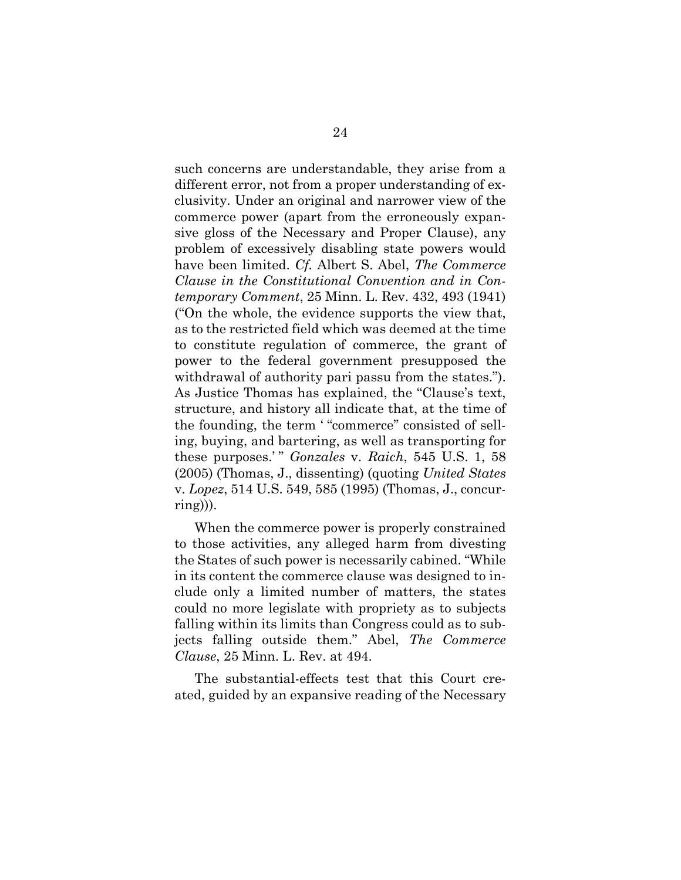such concerns are understandable, they arise from a different error, not from a proper understanding of exclusivity. Under an original and narrower view of the commerce power (apart from the erroneously expansive gloss of the Necessary and Proper Clause), any problem of excessively disabling state powers would have been limited. *Cf.* Albert S. Abel, *The Commerce Clause in the Constitutional Convention and in Contemporary Comment*, 25 Minn. L. Rev. 432, 493 (1941) ("On the whole, the evidence supports the view that, as to the restricted field which was deemed at the time to constitute regulation of commerce, the grant of power to the federal government presupposed the withdrawal of authority pari passu from the states."). As Justice Thomas has explained, the "Clause's text, structure, and history all indicate that, at the time of the founding, the term ' "commerce" consisted of selling, buying, and bartering, as well as transporting for these purposes.' " *Gonzales* v. *Raich*, 545 U.S. 1, 58 (2005) (Thomas, J., dissenting) (quoting *United States*  v. *Lopez*, 514 U.S. 549, 585 (1995) (Thomas, J., concurring))).

When the commerce power is properly constrained to those activities, any alleged harm from divesting the States of such power is necessarily cabined. "While in its content the commerce clause was designed to include only a limited number of matters, the states could no more legislate with propriety as to subjects falling within its limits than Congress could as to subjects falling outside them." Abel, *The Commerce Clause*, 25 Minn. L. Rev. at 494.

The substantial-effects test that this Court created, guided by an expansive reading of the Necessary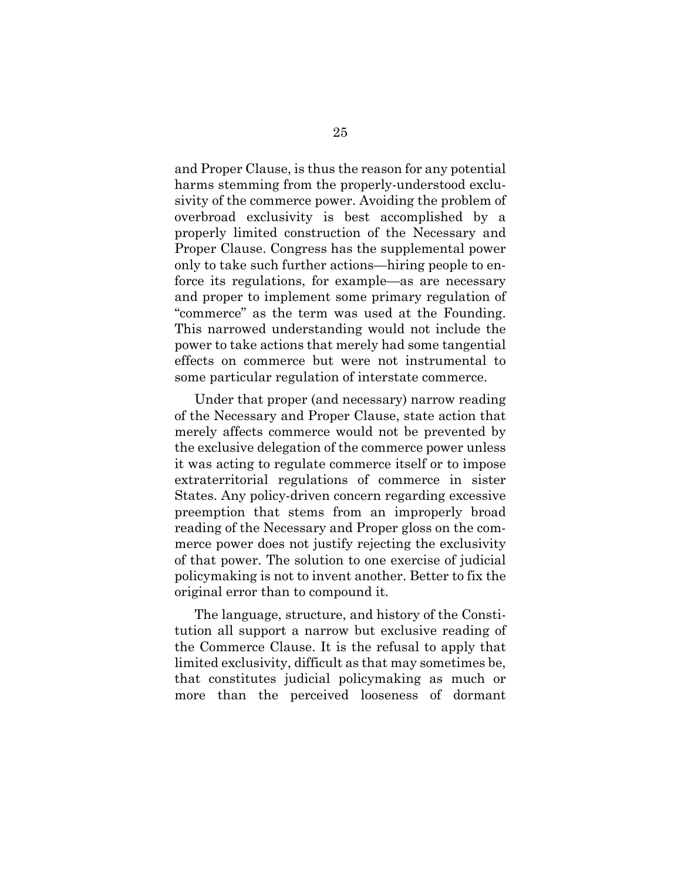and Proper Clause, is thus the reason for any potential harms stemming from the properly-understood exclusivity of the commerce power. Avoiding the problem of overbroad exclusivity is best accomplished by a properly limited construction of the Necessary and Proper Clause. Congress has the supplemental power only to take such further actions—hiring people to enforce its regulations, for example—as are necessary and proper to implement some primary regulation of "commerce" as the term was used at the Founding. This narrowed understanding would not include the power to take actions that merely had some tangential effects on commerce but were not instrumental to some particular regulation of interstate commerce.

Under that proper (and necessary) narrow reading of the Necessary and Proper Clause, state action that merely affects commerce would not be prevented by the exclusive delegation of the commerce power unless it was acting to regulate commerce itself or to impose extraterritorial regulations of commerce in sister States. Any policy-driven concern regarding excessive preemption that stems from an improperly broad reading of the Necessary and Proper gloss on the commerce power does not justify rejecting the exclusivity of that power. The solution to one exercise of judicial policymaking is not to invent another. Better to fix the original error than to compound it.

The language, structure, and history of the Constitution all support a narrow but exclusive reading of the Commerce Clause. It is the refusal to apply that limited exclusivity, difficult as that may sometimes be, that constitutes judicial policymaking as much or more than the perceived looseness of dormant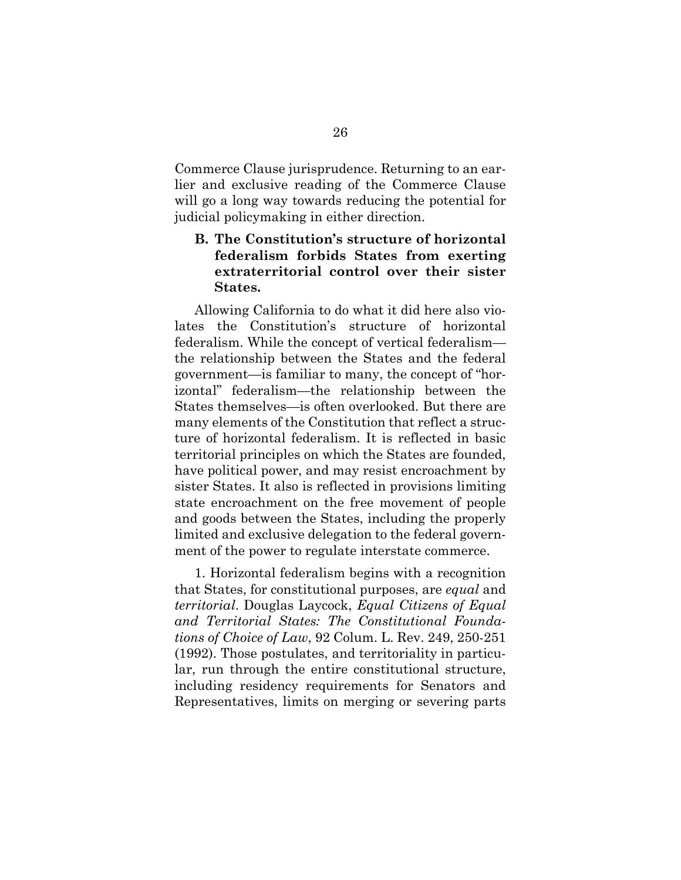Commerce Clause jurisprudence. Returning to an earlier and exclusive reading of the Commerce Clause will go a long way towards reducing the potential for judicial policymaking in either direction.

### <span id="page-35-0"></span>**B. The Constitution's structure of horizontal federalism forbids States from exerting extraterritorial control over their sister States.**

Allowing California to do what it did here also violates the Constitution's structure of horizontal federalism. While the concept of vertical federalism the relationship between the States and the federal government—is familiar to many, the concept of "horizontal" federalism—the relationship between the States themselves—is often overlooked. But there are many elements of the Constitution that reflect a structure of horizontal federalism. It is reflected in basic territorial principles on which the States are founded, have political power, and may resist encroachment by sister States. It also is reflected in provisions limiting state encroachment on the free movement of people and goods between the States, including the properly limited and exclusive delegation to the federal government of the power to regulate interstate commerce.

1. Horizontal federalism begins with a recognition that States, for constitutional purposes, are *equal* and *territorial*. Douglas Laycock, *Equal Citizens of Equal and Territorial States: The Constitutional Foundations of Choice of Law*, 92 Colum. L. Rev. 249, 250-251 (1992). Those postulates, and territoriality in particular, run through the entire constitutional structure, including residency requirements for Senators and Representatives, limits on merging or severing parts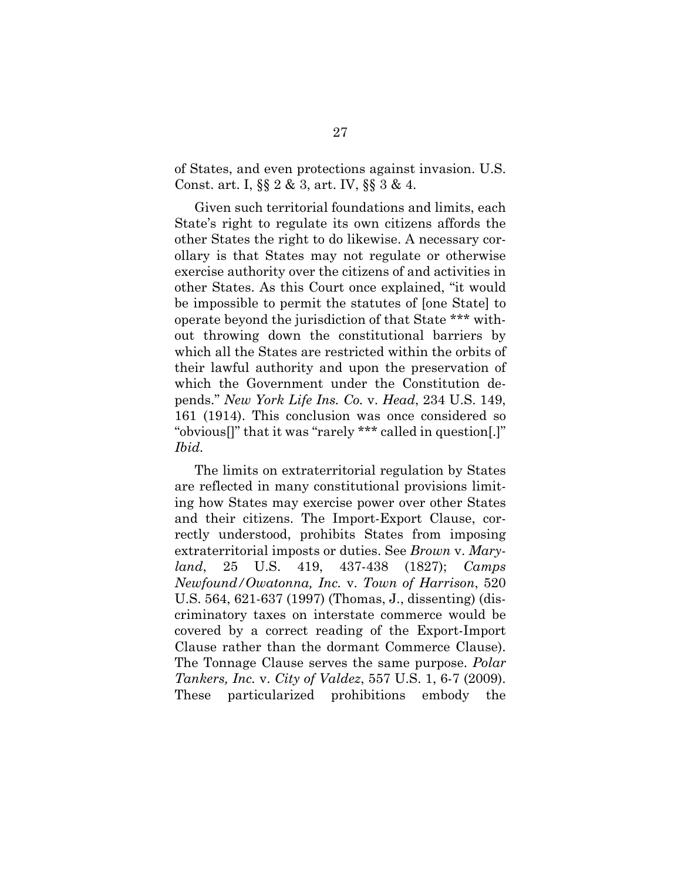of States, and even protections against invasion. U.S. Const. art. I, §§ 2 & 3, art. IV, §§ 3 & 4.

Given such territorial foundations and limits, each State's right to regulate its own citizens affords the other States the right to do likewise. A necessary corollary is that States may not regulate or otherwise exercise authority over the citizens of and activities in other States. As this Court once explained, "it would be impossible to permit the statutes of [one State] to operate beyond the jurisdiction of that State \*\*\* without throwing down the constitutional barriers by which all the States are restricted within the orbits of their lawful authority and upon the preservation of which the Government under the Constitution depends." *New York Life Ins. Co.* v. *Head*, 234 U.S. 149, 161 (1914). This conclusion was once considered so "obvious[]" that it was "rarely \*\*\* called in question[.]" *Ibid.*

The limits on extraterritorial regulation by States are reflected in many constitutional provisions limiting how States may exercise power over other States and their citizens. The Import-Export Clause, correctly understood, prohibits States from imposing extraterritorial imposts or duties. See *Brown* v. *Maryland*, 25 U.S. 419, 437-438 (1827); *Camps Newfound/Owatonna, Inc.* v. *Town of Harrison*, 520 U.S. 564, 621-637 (1997) (Thomas, J., dissenting) (discriminatory taxes on interstate commerce would be covered by a correct reading of the Export-Import Clause rather than the dormant Commerce Clause). The Tonnage Clause serves the same purpose. *Polar Tankers, Inc.* v. *City of Valdez*, 557 U.S. 1, 6-7 (2009). These particularized prohibitions embody the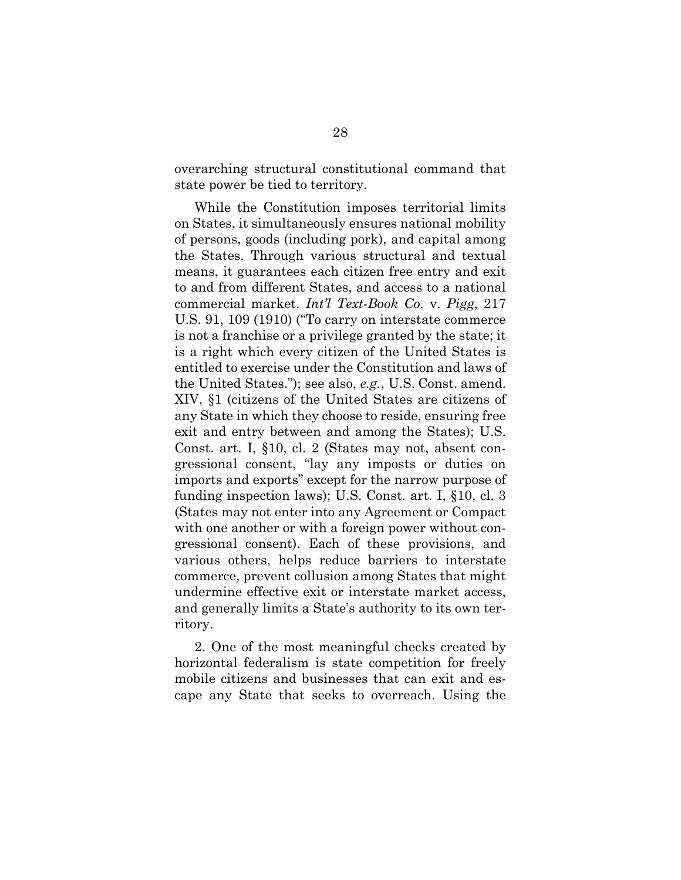overarching structural constitutional command that state power be tied to territory.

While the Constitution imposes territorial limits on States, it simultaneously ensures national mobility of persons, goods (including pork), and capital among the States. Through various structural and textual means, it guarantees each citizen free entry and exit to and from different States, and access to a national commercial market. *Int'l Text-Book Co.* v. *Pigg*, 217 U.S. 91, 109 (1910) ("To carry on interstate commerce is not a franchise or a privilege granted by the state; it is a right which every citizen of the United States is entitled to exercise under the Constitution and laws of the United States."); see also, *e.g.*, U.S. Const. amend. XIV, §1 (citizens of the United States are citizens of any State in which they choose to reside, ensuring free exit and entry between and among the States); U.S. Const. art. I, §10, cl. 2 (States may not, absent congressional consent, "lay any imposts or duties on imports and exports" except for the narrow purpose of funding inspection laws); U.S. Const. art. I, §10, cl. 3 (States may not enter into any Agreement or Compact with one another or with a foreign power without congressional consent). Each of these provisions, and various others, helps reduce barriers to interstate commerce, prevent collusion among States that might undermine effective exit or interstate market access, and generally limits a State's authority to its own territory.

2. One of the most meaningful checks created by horizontal federalism is state competition for freely mobile citizens and businesses that can exit and escape any State that seeks to overreach. Using the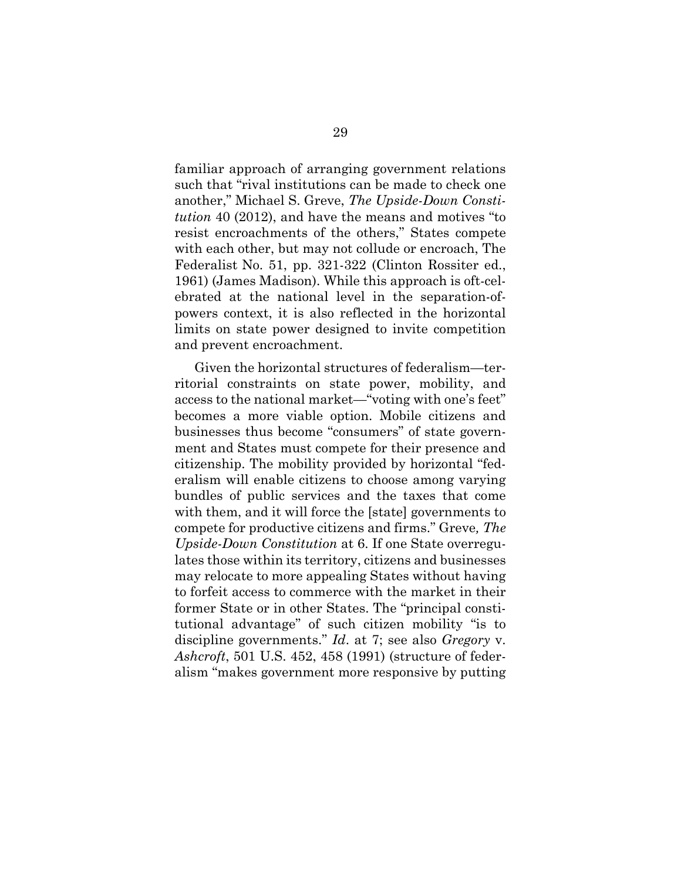familiar approach of arranging government relations such that "rival institutions can be made to check one another," Michael S. Greve, *The Upside-Down Constitution* 40 (2012), and have the means and motives "to resist encroachments of the others," States compete with each other, but may not collude or encroach, The Federalist No. 51, pp. 321-322 (Clinton Rossiter ed., 1961) (James Madison). While this approach is oft-celebrated at the national level in the separation-ofpowers context, it is also reflected in the horizontal limits on state power designed to invite competition and prevent encroachment.

Given the horizontal structures of federalism—territorial constraints on state power, mobility, and access to the national market—"voting with one's feet" becomes a more viable option. Mobile citizens and businesses thus become "consumers" of state government and States must compete for their presence and citizenship. The mobility provided by horizontal "federalism will enable citizens to choose among varying bundles of public services and the taxes that come with them, and it will force the [state] governments to compete for productive citizens and firms." Greve*, The Upside-Down Constitution* at 6. If one State overregulates those within its territory, citizens and businesses may relocate to more appealing States without having to forfeit access to commerce with the market in their former State or in other States. The "principal constitutional advantage" of such citizen mobility "is to discipline governments." *Id*. at 7; see also *Gregory* v. *Ashcroft*, 501 U.S. 452, 458 (1991) (structure of federalism "makes government more responsive by putting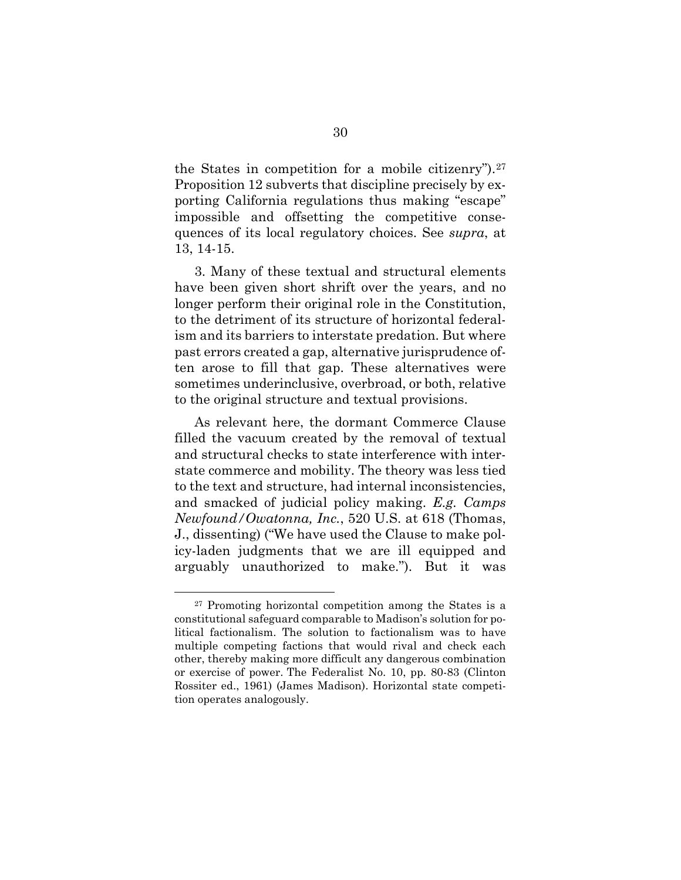the States in competition for a mobile citizenry").[27](#page-39-0) Proposition 12 subverts that discipline precisely by exporting California regulations thus making "escape" impossible and offsetting the competitive consequences of its local regulatory choices. See *supra*, at 13, 14-15.

3. Many of these textual and structural elements have been given short shrift over the years, and no longer perform their original role in the Constitution, to the detriment of its structure of horizontal federalism and its barriers to interstate predation. But where past errors created a gap, alternative jurisprudence often arose to fill that gap. These alternatives were sometimes underinclusive, overbroad, or both, relative to the original structure and textual provisions.

As relevant here, the dormant Commerce Clause filled the vacuum created by the removal of textual and structural checks to state interference with interstate commerce and mobility. The theory was less tied to the text and structure, had internal inconsistencies, and smacked of judicial policy making. *E.g. Camps Newfound/Owatonna, Inc.*, 520 U.S. at 618 (Thomas, J., dissenting) ("We have used the Clause to make policy-laden judgments that we are ill equipped and arguably unauthorized to make."). But it was

<span id="page-39-0"></span><sup>27</sup> Promoting horizontal competition among the States is a constitutional safeguard comparable to Madison's solution for political factionalism. The solution to factionalism was to have multiple competing factions that would rival and check each other, thereby making more difficult any dangerous combination or exercise of power. The Federalist No. 10, pp. 80-83 (Clinton Rossiter ed., 1961) (James Madison). Horizontal state competition operates analogously.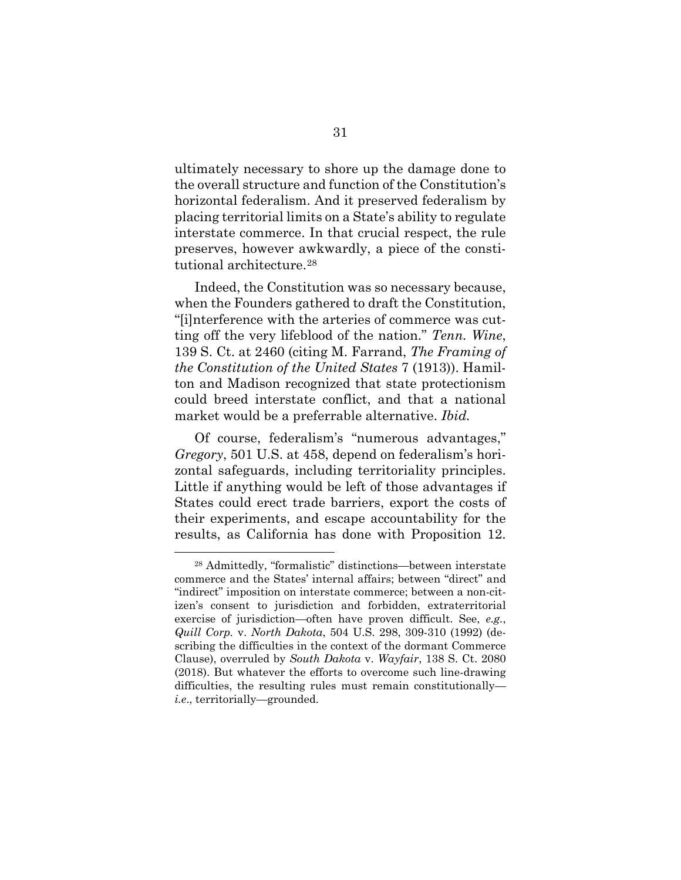ultimately necessary to shore up the damage done to the overall structure and function of the Constitution's horizontal federalism. And it preserved federalism by placing territorial limits on a State's ability to regulate interstate commerce. In that crucial respect, the rule preserves, however awkwardly, a piece of the constitutional architecture.[28](#page-40-0)

Indeed, the Constitution was so necessary because, when the Founders gathered to draft the Constitution, "[i]nterference with the arteries of commerce was cutting off the very lifeblood of the nation." *Tenn. Wine*, 139 S. Ct. at 2460 (citing M. Farrand, *The Framing of the Constitution of the United States* 7 (1913)). Hamilton and Madison recognized that state protectionism could breed interstate conflict, and that a national market would be a preferrable alternative. *Ibid.*

Of course, federalism's "numerous advantages," *Gregory*, 501 U.S. at 458, depend on federalism's horizontal safeguards, including territoriality principles. Little if anything would be left of those advantages if States could erect trade barriers, export the costs of their experiments, and escape accountability for the results, as California has done with Proposition 12.

<span id="page-40-0"></span><sup>28</sup> Admittedly, "formalistic" distinctions—between interstate commerce and the States' internal affairs; between "direct" and "indirect" imposition on interstate commerce; between a non-citizen's consent to jurisdiction and forbidden, extraterritorial exercise of jurisdiction—often have proven difficult. See, *e.g.*, *Quill Corp.* v. *North Dakota*, 504 U.S. 298, 309-310 (1992) (describing the difficulties in the context of the dormant Commerce Clause), overruled by *South Dakota* v. *Wayfair*, 138 S. Ct. 2080 (2018). But whatever the efforts to overcome such line-drawing difficulties, the resulting rules must remain constitutionally *i.e*., territorially—grounded.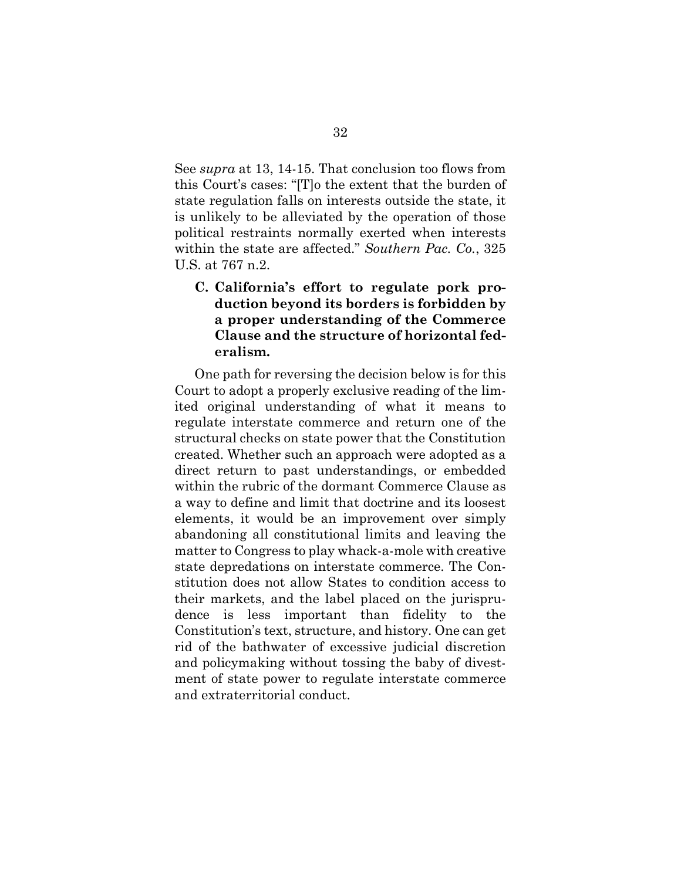See *supra* at 13, 14-15. That conclusion too flows from this Court's cases: "[T]o the extent that the burden of state regulation falls on interests outside the state, it is unlikely to be alleviated by the operation of those political restraints normally exerted when interests within the state are affected." *Southern Pac. Co.*, 325 U.S. at 767 n.2.

<span id="page-41-0"></span>**C. California's effort to regulate pork production beyond its borders is forbidden by a proper understanding of the Commerce Clause and the structure of horizontal federalism.** 

One path for reversing the decision below is for this Court to adopt a properly exclusive reading of the limited original understanding of what it means to regulate interstate commerce and return one of the structural checks on state power that the Constitution created. Whether such an approach were adopted as a direct return to past understandings, or embedded within the rubric of the dormant Commerce Clause as a way to define and limit that doctrine and its loosest elements, it would be an improvement over simply abandoning all constitutional limits and leaving the matter to Congress to play whack-a-mole with creative state depredations on interstate commerce. The Constitution does not allow States to condition access to their markets, and the label placed on the jurisprudence is less important than fidelity to the Constitution's text, structure, and history. One can get rid of the bathwater of excessive judicial discretion and policymaking without tossing the baby of divestment of state power to regulate interstate commerce and extraterritorial conduct.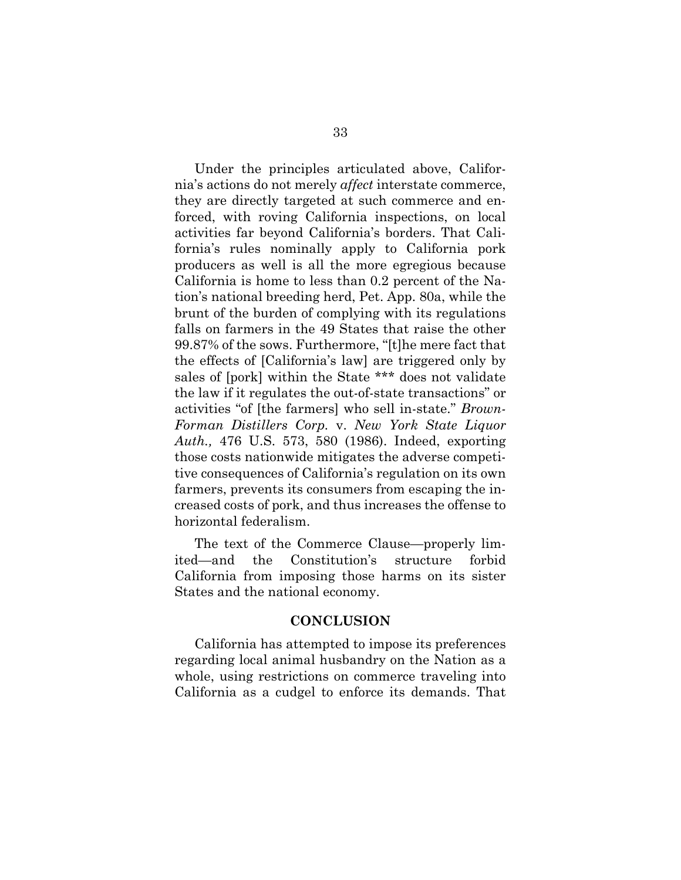Under the principles articulated above, California's actions do not merely *affect* interstate commerce, they are directly targeted at such commerce and enforced, with roving California inspections, on local activities far beyond California's borders. That California's rules nominally apply to California pork producers as well is all the more egregious because California is home to less than 0.2 percent of the Nation's national breeding herd, Pet. App. 80a, while the brunt of the burden of complying with its regulations falls on farmers in the 49 States that raise the other 99.87% of the sows. Furthermore, "[t]he mere fact that the effects of [California's law] are triggered only by sales of [pork] within the State \*\*\* does not validate the law if it regulates the out-of-state transactions" or activities "of [the farmers] who sell in-state." *Brown-Forman Distillers Corp.* v. *New York State Liquor Auth.,* 476 U.S. 573, 580 (1986). Indeed, exporting those costs nationwide mitigates the adverse competitive consequences of California's regulation on its own farmers, prevents its consumers from escaping the increased costs of pork, and thus increases the offense to horizontal federalism.

The text of the Commerce Clause—properly limited—and the Constitution's structure forbid California from imposing those harms on its sister States and the national economy.

### **CONCLUSION**

<span id="page-42-0"></span>California has attempted to impose its preferences regarding local animal husbandry on the Nation as a whole, using restrictions on commerce traveling into California as a cudgel to enforce its demands. That